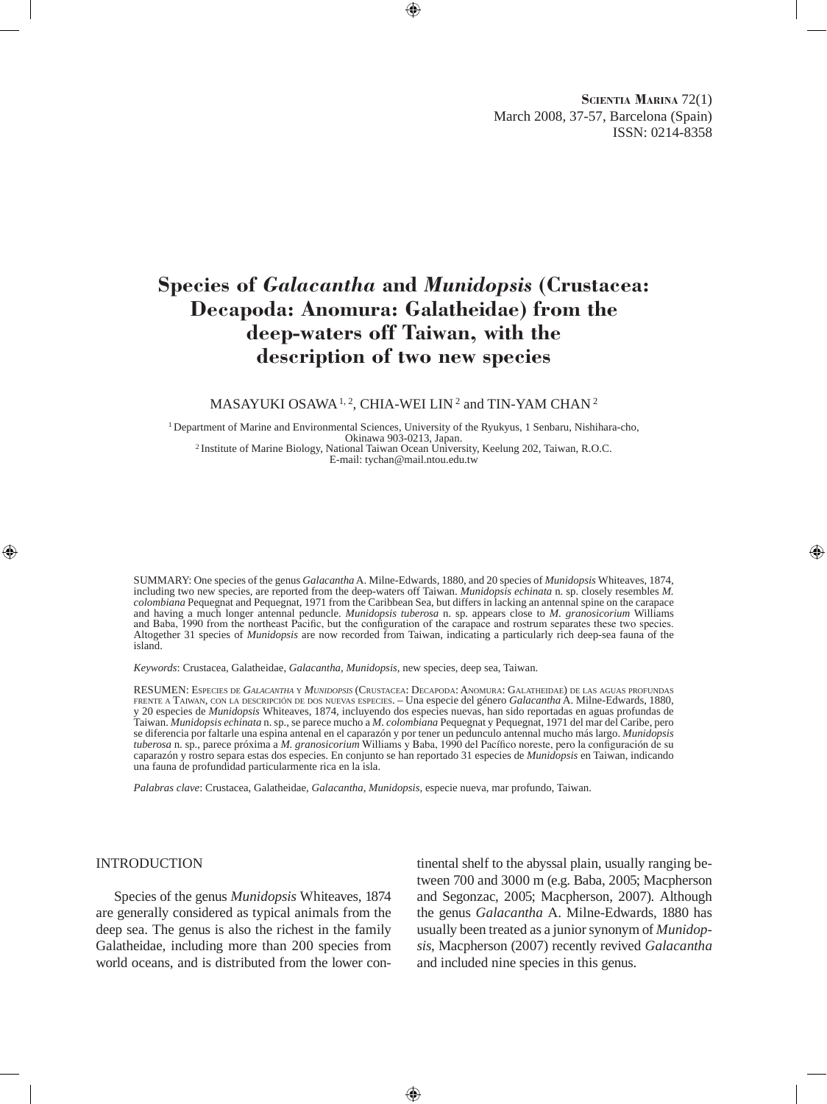**Scientia Marina** 72(1) March 2008, 37-57, Barcelona (Spain) ISSN: 0214-8358

# **Species of** *Galacantha* **and** *Munidopsis* **(Crustacea: Decapoda: Anomura: Galatheidae) from the deep-waters off Taiwan, with the description of two new species**

#### MASAYUKI OSAWA<sup>1, 2</sup>, CHIA-WEI LIN<sup>2</sup> and TIN-YAM CHAN<sup>2</sup>

<sup>1</sup> Department of Marine and Environmental Sciences, University of the Ryukyus, 1 Senbaru, Nishihara-cho, Okinawa 903-0213, Japan. <sup>2</sup> Institute of Marine Biology, National Taiwan Ocean University, Keelung 202, Taiwan, R.O.C. E-mail: tychan@mail.ntou.edu.tw

SUMMARY: One species of the genus *Galacantha* A. Milne-Edwards, 1880, and 20 species of *Munidopsis* Whiteaves, 1874, including two new species, are reported from the deep-waters off Taiwan. *Munidopsis echinata* n. sp. closely resembles *M. colombiana* Pequegnat and Pequegnat, 1971 from the Caribbean Sea, but differs in lacking an antennal spine on the carapace and having a much longer antennal peduncle. *Munidopsis tuberosa* n. sp. appears close to *M. granosicorium* Williams and Baba, 1990 from the northeast Pacific, but the configuration of the carapace and rostrum separates these two species. Altogether 31 species of *Munidopsis* are now recorded from Taiwan, indicating a particularly rich deep-sea fauna of the island.

*Keywords*: Crustacea, Galatheidae, *Galacantha*, *Munidopsis*, new species, deep sea, Taiwan.

RESUMEN: Especies de *Galacantha* <sup>y</sup> *Munidopsis* (Crustacea: Decapoda: Anomura: Galatheidae) de las aguas profundas frente <sup>a</sup> Taiwan, con la descripción de dos nuevas especies. – Una especie del género *Galacantha* A. Milne-Edwards, 1880, y 20 especies de *Munidopsis* Whiteaves, 1874, incluyendo dos especies nuevas, han sido reportadas en aguas profundas de Taiwan. *Munidopsis echinata* n. sp., se parece mucho a *M. colombiana* Pequegnat y Pequegnat, 1971 del mar del Caribe, pero se diferencia por faltarle una espina antenal en el caparazón y por tener un pedunculo antennal mucho más largo. *Munidopsis tuberosa* n. sp., parece próxima a *M. granosicorium* Williams y Baba, 1990 del Pacífico noreste, pero la configuración de su caparazón y rostro separa estas dos especies. En conjunto se han reportado 31 especies de *Munidopsis* en Taiwan, indicando una fauna de profundidad particularmente rica en la isla.

*Palabras clave*: Crustacea, Galatheidae, *Galacantha*, *Munidopsis*, especie nueva, mar profundo, Taiwan.

#### INTRODUCTION

Species of the genus *Munidopsis* Whiteaves, 1874 are generally considered as typical animals from the deep sea. The genus is also the richest in the family Galatheidae, including more than 200 species from world oceans, and is distributed from the lower continental shelf to the abyssal plain, usually ranging between 700 and 3000 m (e.g. Baba, 2005; Macpherson and Segonzac, 2005; Macpherson, 2007). Although the genus *Galacantha* A. Milne-Edwards, 1880 has usually been treated as a junior synonym of *Munidopsis*, Macpherson (2007) recently revived *Galacantha* and included nine species in this genus.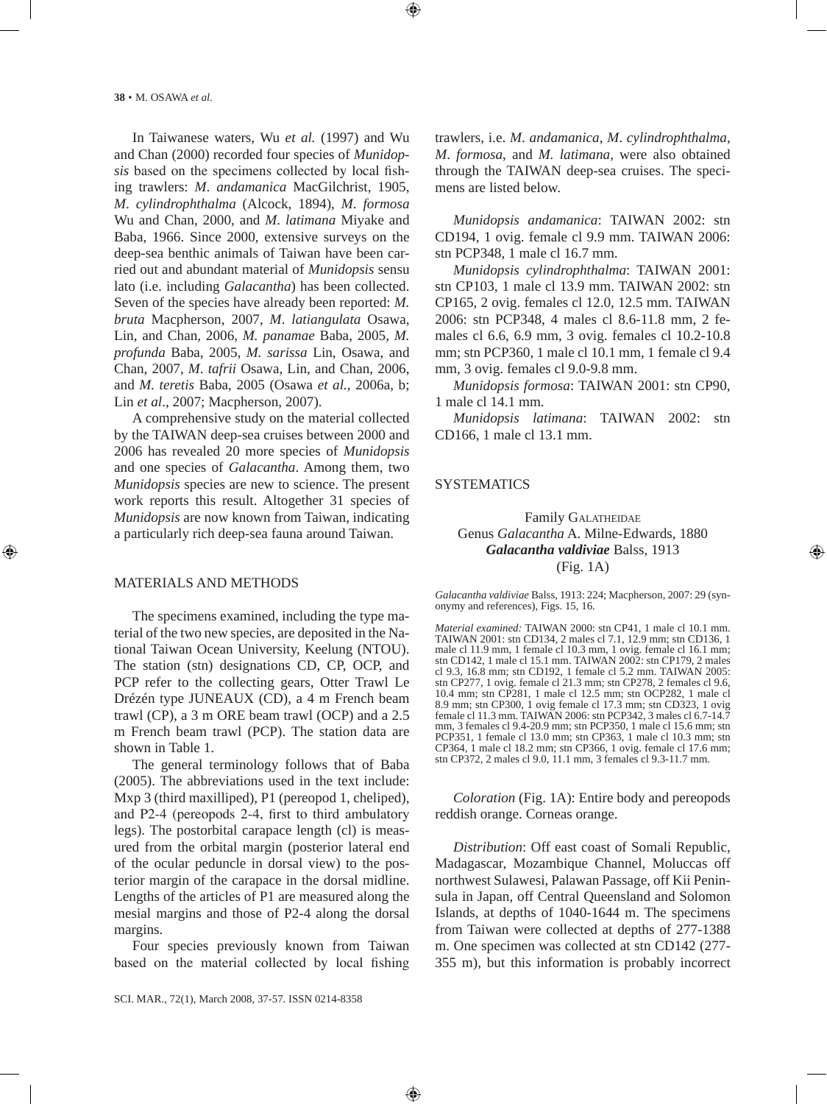In Taiwanese waters, Wu *et al.* (1997) and Wu and Chan (2000) recorded four species of *Munidopsis* based on the specimens collected by local fishing trawlers: *M*. *andamanica* MacGilchrist, 1905, *M*. *cylindrophthalma* (Alcock, 1894), *M*. *formosa* Wu and Chan, 2000, and *M*. *latimana* Miyake and Baba, 1966. Since 2000, extensive surveys on the deep-sea benthic animals of Taiwan have been carried out and abundant material of *Munidopsis* sensu lato (i.e. including *Galacantha*) has been collected. Seven of the species have already been reported: *M. bruta* Macpherson, 2007, *M*. *latiangulata* Osawa, Lin, and Chan, 2006, *M. panamae* Baba, 2005, *M. profunda* Baba, 2005, *M. sarissa* Lin, Osawa, and Chan, 2007, *M*. *tafrii* Osawa, Lin, and Chan, 2006, and *M. teretis* Baba, 2005 (Osawa *et al.,* 2006a, b; Lin *et al*., 2007; Macpherson, 2007).

A comprehensive study on the material collected by the TAIWAN deep-sea cruises between 2000 and 2006 has revealed 20 more species of *Munidopsis*  and one species of *Galacantha*. Among them, two *Munidopsis* species are new to science. The present work reports this result. Altogether 31 species of *Munidopsis* are now known from Taiwan, indicating a particularly rich deep-sea fauna around Taiwan.

#### MATERIALS AND METHODS

The specimens examined, including the type material of the two new species, are deposited in the National Taiwan Ocean University, Keelung (NTOU). The station (stn) designations CD, CP, OCP, and PCP refer to the collecting gears, Otter Trawl Le Drézén type JUNEAUX (CD), a 4 m French beam trawl (CP), a 3 m ORE beam trawl (OCP) and a 2.5 m French beam trawl (PCP). The station data are shown in Table 1.

The general terminology follows that of Baba (2005). The abbreviations used in the text include: Mxp 3 (third maxilliped), P1 (pereopod 1, cheliped), and P2-4 (pereopods 2-4, first to third ambulatory legs). The postorbital carapace length (cl) is measured from the orbital margin (posterior lateral end of the ocular peduncle in dorsal view) to the posterior margin of the carapace in the dorsal midline. Lengths of the articles of P1 are measured along the mesial margins and those of P2-4 along the dorsal margins.

Four species previously known from Taiwan based on the material collected by local fishing trawlers, i.e. *M*. *andamanica*, *M*. *cylindrophthalma*, *M*. *formosa*, and *M. latimana,* were also obtained through the TAIWAN deep-sea cruises. The specimens are listed below.

*Munidopsis andamanica*: TAIWAN 2002: stn CD194, 1 ovig. female cl 9.9 mm. TAIWAN 2006: stn PCP348, 1 male cl 16.7 mm.

*Munidopsis cylindrophthalma*: TAIWAN 2001: stn CP103, 1 male cl 13.9 mm. TAIWAN 2002: stn CP165, 2 ovig. females cl 12.0, 12.5 mm. TAIWAN 2006: stn PCP348, 4 males cl 8.6-11.8 mm, 2 females cl 6.6, 6.9 mm, 3 ovig. females cl 10.2-10.8 mm; stn PCP360, 1 male cl 10.1 mm, 1 female cl 9.4 mm, 3 ovig. females cl 9.0-9.8 mm.

*Munidopsis formosa*: TAIWAN 2001: stn CP90, 1 male cl 14.1 mm.

*Munidopsis latimana*: TAIWAN 2002: stn CD166, 1 male cl 13.1 mm.

#### **SYSTEMATICS**

# Family GALATHEIDAE Genus *Galacantha* A. Milne-Edwards, 1880 *Galacantha valdiviae* Balss, 1913 (Fig. 1A)

*Galacantha valdiviae* Balss, 1913: 224; Macpherson, 2007: 29 (synonymy and references), Figs. 15, 16.

*Material examined:* TAIWAN 2000: stn CP41, 1 male cl 10.1 mm. TAIWAN 2001: stn CD134, 2 males cl 7.1, 12.9 mm; stn CD136, 1 male cl 11.9 mm, 1 female cl 10.3 mm, 1 ovig. female cl 16.1 mm; stn CD142, 1 male cl 15.1 mm. TAIWAN 2002: stn CP179, 2 males cl 9.3, 16.8 mm; stn CD192, 1 female cl 5.2 mm. TAIWAN 2005: stn CP277, 1 ovig. female cl 21.3 mm; stn CP278, 2 females cl 9.6, 10.4 mm; stn CP281, 1 male cl 12.5 mm; stn OCP282, 1 male cl 8.9 mm; stn CP300, 1 ovig female cl 17.3 mm; stn CD323, 1 ovig female cl 11.3 mm. TAIWAN 2006: stn PCP342, 3 males cl 6.7-14.7 mm, 3 females cl 9.4-20.9 mm; stn PCP350, 1 male cl 15.6 mm; stn PCP351, 1 female cl 13.0 mm; stn CP363, 1 male cl 10.3 mm; stn CP364, 1 male cl 18.2 mm; stn CP366, 1 ovig. female cl 17.6 mm; stn CP372, 2 males cl 9.0, 11.1 mm, 3 females cl 9.3-11.7 mm.

*Coloration* (Fig. 1A): Entire body and pereopods reddish orange. Corneas orange.

*Distribution*: Off east coast of Somali Republic, Madagascar, Mozambique Channel, Moluccas off northwest Sulawesi, Palawan Passage, off Kii Peninsula in Japan, off Central Queensland and Solomon Islands, at depths of 1040-1644 m. The specimens from Taiwan were collected at depths of 277-1388 m. One specimen was collected at stn CD142 (277- 355 m), but this information is probably incorrect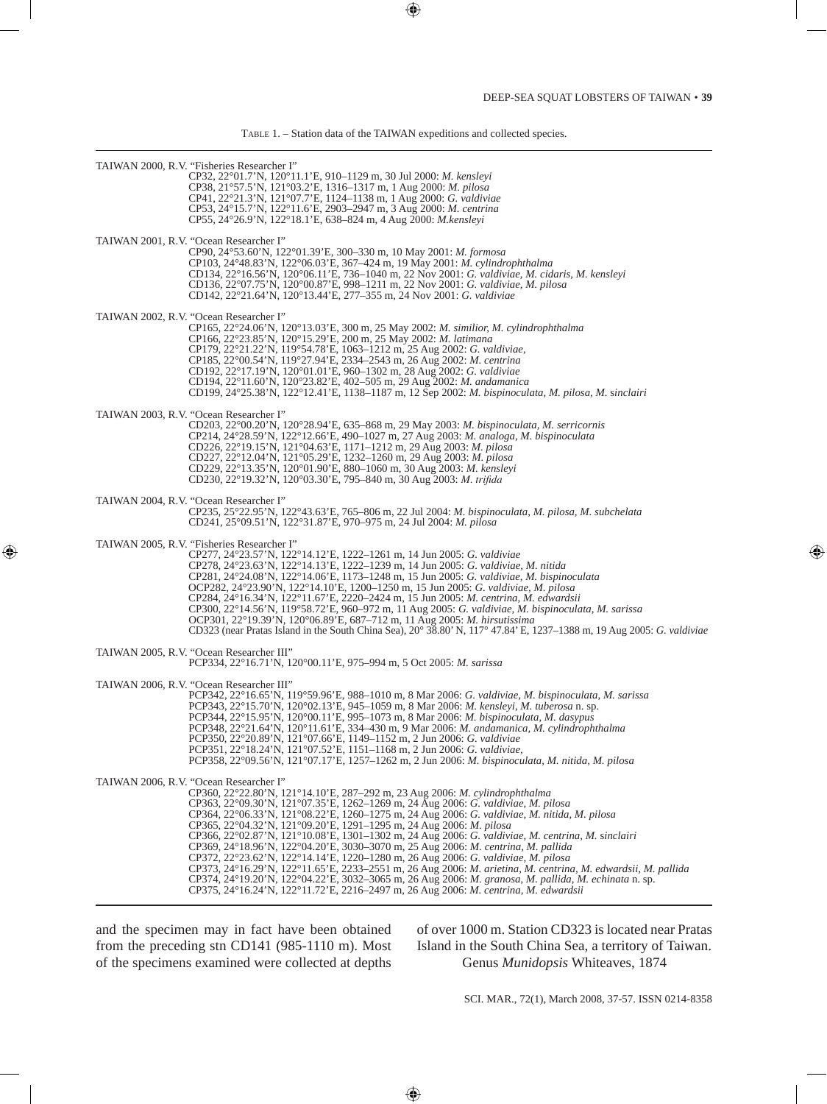Table 1. – Station data of the TAIWAN expeditions and collected species.

| TAIWAN 2000, R.V. "Fisheries Researcher I"<br>CP32, 22°01.7'N, 120°11.1'E, 910–1129 m, 30 Jul 2000: M. kensleyi<br>CP38, 21°57.5'N, 121°03.2'E, 1316-1317 m, 1 Aug 2000: M. pilosa<br>CP41, 22°21.3'N, 121°07.7'E, 1124–1138 m, 1 Aug 2000: G. valdiviae<br>CP53, 24°15.7'N, 122°11.6'E, 2903-2947 m, 3 Aug 2000: M. centrina<br>CP55, 24°26.9'N, 122°18.1'E, 638–824 m, 4 Aug 2000: <i>M.kenslevi</i>                                                                                                                                                                                                                                                                                                                                                                                                                                                                                                                                                                                 |
|----------------------------------------------------------------------------------------------------------------------------------------------------------------------------------------------------------------------------------------------------------------------------------------------------------------------------------------------------------------------------------------------------------------------------------------------------------------------------------------------------------------------------------------------------------------------------------------------------------------------------------------------------------------------------------------------------------------------------------------------------------------------------------------------------------------------------------------------------------------------------------------------------------------------------------------------------------------------------------------|
| TAIWAN 2001, R.V. "Ocean Researcher I"<br>CP90, 24°53.60'N, 122°01.39'E, 300–330 m, 10 May 2001: M. formosa<br>CP103, 24°48.83'N, 122°06.03'E, 367–424 m, 19 May 2001: <i>M. cylindrophthalma</i><br>CD134, 22°16.56'N, 120°06.11'E, 736-1040 m, 22 Nov 2001: G. valdiviae, M. cidaris, M. kensleyi<br>CD136, 22°07.75'N, 120°00.87'E, 998-1211 m, 22 Nov 2001: G. valdiviae, M. pilosa<br>CD142, 22°21.64'N, 120°13.44'E, 277–355 m, 24 Nov 2001: G. valdiviae                                                                                                                                                                                                                                                                                                                                                                                                                                                                                                                        |
| TAIWAN 2002, R.V. "Ocean Researcher I"<br>CP165, 22°24.06'N, 120°13.03'E, 300 m, 25 May 2002: M. similior, M. cylindrophthalma<br>CP166, 22°23.85'N, 120°15.29'E, 200 m, 25 May 2002: M. latimana<br>CP179, 22°21.22'N, 119°54.78'E, 1063-1212 m, 25 Aug 2002: G. valdiviae,<br>CP185, 22°00.54'N, 119°27.94'E, 2334–2543 m, 26 Aug 2002: M. centrina<br>CD192, 22°17.19'N, 120°01.01'E, 960-1302 m, 28 Aug 2002: G. valdiviae<br>CD194, 22°11.60'N, 120°23.82'E, 402–505 m, 29 Aug 2002: <i>M. andamanica</i><br>CD199, 24°25.38'N, 122°12.41'E, 1138–1187 m, 12 Sep 2002: M. bispinoculata, M. pilosa, M. sinclairi                                                                                                                                                                                                                                                                                                                                                                  |
| TAIWAN 2003, R.V. "Ocean Researcher I"<br>CD203, 22°00.20'N, 120°28.94'E, 635–868 m, 29 May 2003: M. bispinoculata, M. serricornis<br>CP214, 24°28.59'N, 122°12.66'E, 490-1027 m, 27 Aug 2003: M. analoga, M. bispinoculata<br>CD226, 22°19.15'N, 121°04.63'E, 1171-1212 m, 29 Aug 2003: M. pilosa<br>CD227, 22°12.04'N, 121°05.29'E, 1232-1260 m, 29 Aug 2003: M. pilosa<br>CD229, 22°13.35'N, 120°01.90'E, 880–1060 m, 30 Aug 2003: M. kensleyi<br>CD230, 22°19.32'N, 120°03.30'E, 795-840 m, 30 Aug 2003: M. trifida                                                                                                                                                                                                                                                                                                                                                                                                                                                                |
| TAIWAN 2004, R.V. "Ocean Researcher I"<br>CP235, 25°22.95'N, 122°43.63'E, 765-806 m, 22 Jul 2004: M. bispinoculata, M. pilosa, M. subchelata<br>CD241, 25°09.51'N, 122°31.87'E, 970–975 m, 24 Jul 2004: M. pilosa                                                                                                                                                                                                                                                                                                                                                                                                                                                                                                                                                                                                                                                                                                                                                                      |
| TAIWAN 2005, R.V. "Fisheries Researcher I"<br>CP277, 24°23.57'N, 122°14.12'E, 1222-1261 m, 14 Jun 2005: G. valdiviae<br>CP278, 24°23.63'N, 122°14.13'E, 1222-1239 m, 14 Jun 2005: G. valdiviae, M. nitida<br>CP281, 24°24.08'N, 122°14.06'E, 1173–1248 m, 15 Jun 2005: G. valdiviae, M. bispinoculata<br>OCP282, 24°23.90'N, 122°14.10'E, 1200-1250 m, 15 Jun 2005: G. valdiviae, M. pilosa<br>CP284, 24°16.34'N, 122°11.67'E, 2220-2424 m, 15 Jun 2005: M. centrina, M. edwardsii<br>CP300, 22°14.56'N, 119°58.72'E, 960-972 m, 11 Aug 2005: G. valdiviae, M. bispinoculata, M. sarissa<br>OCP301, 22°19.39'N, 120°06.89'E, 687-712 m, 11 Aug 2005: M. hirsutissima<br>CD323 (near Pratas Island in the South China Sea), 20° 38.80' N, 117° 47.84' E, 1237–1388 m, 19 Aug 2005: G. valdiviae                                                                                                                                                                                         |
| TAIWAN 2005, R.V. "Ocean Researcher III"<br>PCP334, 22°16.71'N, 120°00.11'E, 975–994 m, 5 Oct 2005: M. sarissa                                                                                                                                                                                                                                                                                                                                                                                                                                                                                                                                                                                                                                                                                                                                                                                                                                                                         |
| TAIWAN 2006, R.V. "Ocean Researcher III"<br>PCP342, 22°16.65'N, 119°59.96'E, 988–1010 m, 8 Mar 2006: G. valdiviae, M. bispinoculata, M. sarissa<br>PCP343, 22°15.70'N, 120°02.13'E, 945–1059 m, 8 Mar 2006: <i>M. kensleyi, M. tuberosa</i> n. sp.<br>PCP344, 22°15.95'N, 120°00.11'E, 995–1073 m, 8 Mar 2006: <i>M. bispinoculata, M. dasypus</i><br>PCP348, 22°21.64'N, 120°11.61'E, 334-430 m, 9 Mar 2006: M. andamanica, M. cylindrophthalma<br>PCP350, 22°20.89'N, 121°07.66'E, 1149–1152 m, 2 Jun 2006: G. valdiviae<br>PCP351, 22°18.24'N, 121°07.52'E, 1151-1168 m, 2 Jun 2006: G. valdiviae,<br>PCP358, 22°09.56'N, 121°07.17'E, 1257–1262 m, 2 Jun 2006: M. bispinoculata, M. nitida, M. pilosa                                                                                                                                                                                                                                                                              |
| TAIWAN 2006, R.V. "Ocean Researcher I"<br>CP360, 22°22.80'N, 121°14.10'E, 287–292 m, 23 Aug 2006: M. cylindrophthalma<br>CP363, 22°09.30'N, 121°07.35'E, 1262–1269 m, 24 Aug 2006: G. valdiviae, M. pilosa<br>CP364, 22°06.33'N, 121°08.22'E, 1260–1275 m, 24 Aug 2006: G. valdiviae, M. nitida, M. pilosa<br>CP365, 22°04.32'N, 121°09.20'E, 1291–1295 m, 24 Aug 2006: M. pilosa<br>CP366, 22°02.87'N, 121°10.08'E, 1301-1302 m, 24 Aug 2006: G. valdiviae, M. centrina, M. sinclairi<br>CP369, 24°18.96'N, 122°04.20'E, 3030–3070 m, 25 Aug 2006: <i>M. centrina, M. pallida</i><br>CP372, 22°23.62'N, 122°14.14'E, 1220–1280 m, 26 Aug 2006: G. valdiviae, M. pilosa<br>CP373, 24°16.29'N, 122°11.65'E, 2233-2551 m, 26 Aug 2006: M. arietina, M. centrina, M. edwardsii, M. pallida<br>CP374, 24°19.20'N, 122°04.22'E, 3032-3065 m, 26 Aug 2006: M. granosa, M. pallida, M. echinata n. sp.<br>CP375, 24°16.24'N, 122°11.72'E, 2216-2497 m, 26 Aug 2006: M. centrina, M. edwardsii |

and the specimen may in fact have been obtained from the preceding stn CD141 (985-1110 m). Most of the specimens examined were collected at depths

of over 1000 m. Station CD323 is located near Pratas Island in the South China Sea, a territory of Taiwan. Genus *Munidopsis* Whiteaves, 1874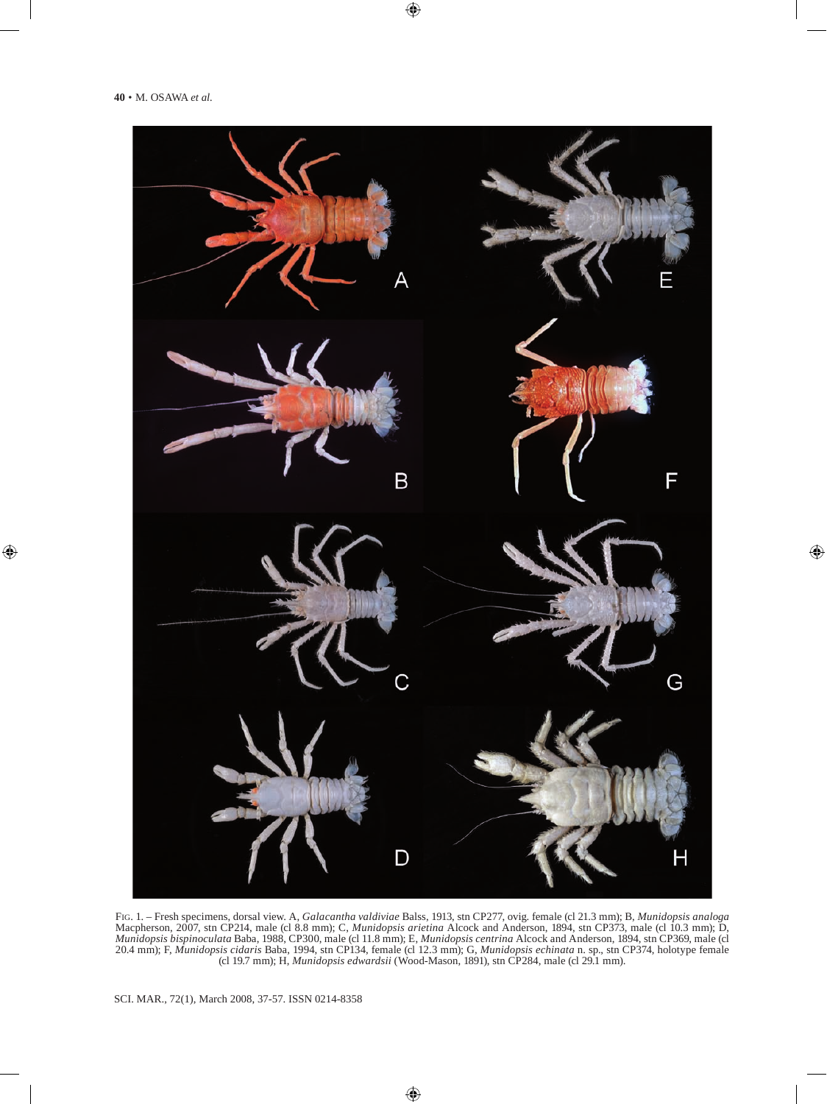

Fig. 1. – Fresh specimens, dorsal view. A, *Galacantha valdiviae* Balss, 1913, stn CP277, ovig. female (cl 21.3 mm); B, *Munidopsis analoga* Macpherson, 2007, stn CP214, male (cl 8.8 mm); C, *Munidopsis arietina* Alcock and Anderson, 1894, stn CP373, male (cl 10.3 mm); D, *Munidopsis bispinoculata* Baba, 1988, CP300, male (cl 11.8 mm); E, *Munidopsis centrina* Alcock and Anderson, 1894, stn CP369, male (cl 20.4 mm); F, *Munidopsis cidaris* Baba, 1994, stn CP134, female (cl 12.3 mm); G, *Munidopsis echinata* n. sp., stn CP374, holotype female (cl 19.7 mm); H, *Munidopsis edwardsii* (Wood-Mason, 1891), stn CP284, male (cl 29.1 mm).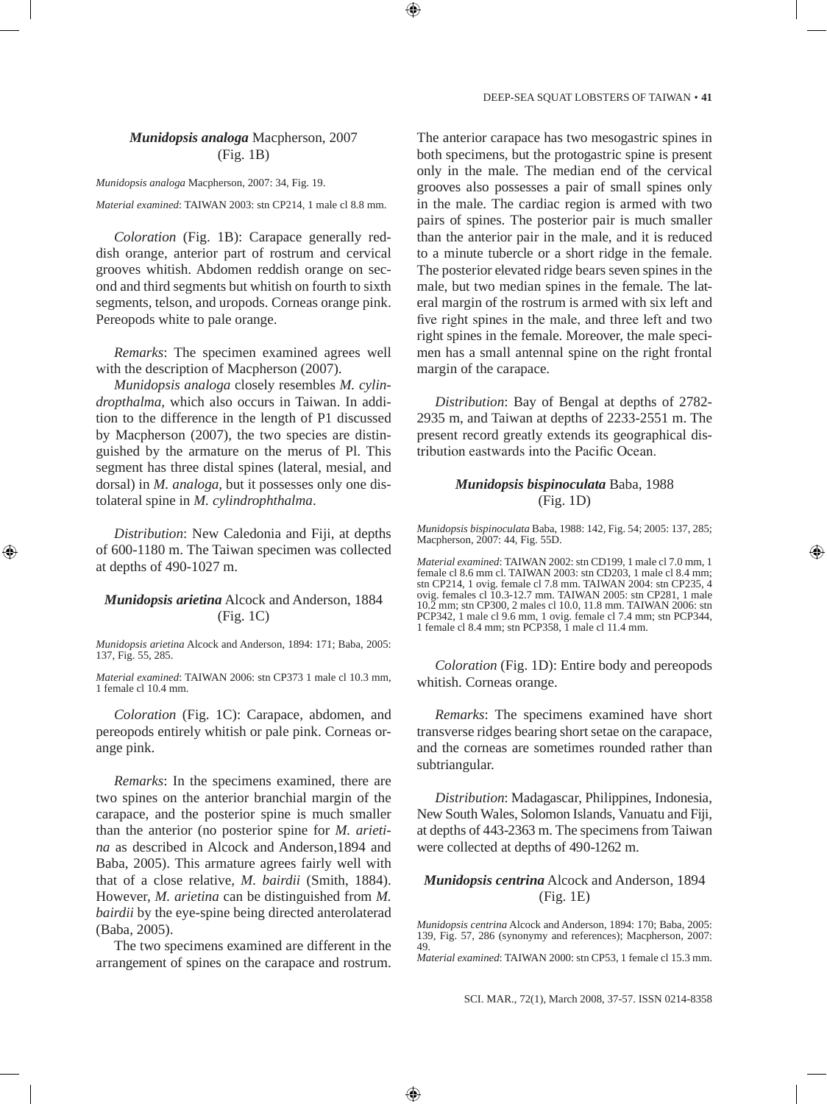# *Munidopsis analoga* Macpherson, 2007 (Fig. 1B)

*Munidopsis analoga* Macpherson, 2007: 34, Fig. 19.

*Material examined*: TAIWAN 2003: stn CP214, 1 male cl 8.8 mm.

*Coloration* (Fig. 1B): Carapace generally reddish orange, anterior part of rostrum and cervical grooves whitish. Abdomen reddish orange on second and third segments but whitish on fourth to sixth segments, telson, and uropods. Corneas orange pink. Pereopods white to pale orange.

*Remarks*: The specimen examined agrees well with the description of Macpherson (2007).

*Munidopsis analoga* closely resembles *M. cylindropthalma,* which also occurs in Taiwan. In addition to the difference in the length of P1 discussed by Macpherson (2007), the two species are distinguished by the armature on the merus of Pl. This segment has three distal spines (lateral, mesial, and dorsal) in *M. analoga,* but it possesses only one distolateral spine in *M. cylindrophthalma*.

*Distribution*: New Caledonia and Fiji, at depths of 600-1180 m. The Taiwan specimen was collected at depths of 490-1027 m.

#### *Munidopsis arietina* Alcock and Anderson, 1884 (Fig. 1C)

*Munidopsis arietina* Alcock and Anderson, 1894: 171; Baba, 2005: 137, Fig. 55, 285.

*Material examined*: TAIWAN 2006: stn CP373 1 male cl 10.3 mm, 1 female cl 10.4 mm.

*Coloration* (Fig. 1C): Carapace, abdomen, and pereopods entirely whitish or pale pink. Corneas orange pink.

*Remarks*: In the specimens examined, there are two spines on the anterior branchial margin of the carapace, and the posterior spine is much smaller than the anterior (no posterior spine for *M. arietina* as described in Alcock and Anderson,1894 and Baba, 2005). This armature agrees fairly well with that of a close relative, *M. bairdii* (Smith, 1884). However, *M. arietina* can be distinguished from *M. bairdii* by the eye-spine being directed anterolaterad (Baba, 2005).

The two specimens examined are different in the arrangement of spines on the carapace and rostrum. The anterior carapace has two mesogastric spines in both specimens, but the protogastric spine is present only in the male. The median end of the cervical grooves also possesses a pair of small spines only in the male. The cardiac region is armed with two pairs of spines. The posterior pair is much smaller than the anterior pair in the male, and it is reduced to a minute tubercle or a short ridge in the female. The posterior elevated ridge bears seven spines in the male, but two median spines in the female. The lateral margin of the rostrum is armed with six left and five right spines in the male, and three left and two right spines in the female. Moreover, the male specimen has a small antennal spine on the right frontal margin of the carapace.

*Distribution*: Bay of Bengal at depths of 2782- 2935 m, and Taiwan at depths of 2233-2551 m. The present record greatly extends its geographical distribution eastwards into the Pacific Ocean.

# *Munidopsis bispinoculata* Baba, 1988 (Fig. 1D)

*Munidopsis bispinoculata* Baba, 1988: 142, Fig. 54; 2005: 137, 285; Macpherson, 2007: 44, Fig. 55D.

*Material examined*: TAIWAN 2002: stn CD199, 1 male cl 7.0 mm, 1 female cl 8.6 mm cl. TAIWAN 2003: stn CD203, 1 male cl 8.4 mm; stn CP214, 1 ovig. female cl 7.8 mm. TAIWAN 2004: stn CP235, 4 ovig. females cl 10.3-12.7 mm. TAIWAN 2005: stn CP281, 1 male 10.2 mm; stn CP300, 2 males cl 10.0, 11.8 mm. TAIWAN 2006: stn PCP342, 1 male cl 9.6 mm, 1 ovig. female cl 7.4 mm; stn PCP344, 1 female cl 8.4 mm; stn PCP358, 1 male cl 11.4 mm.

*Coloration* (Fig. 1D): Entire body and pereopods whitish. Corneas orange.

*Remarks*: The specimens examined have short transverse ridges bearing short setae on the carapace, and the corneas are sometimes rounded rather than subtriangular.

*Distribution*: Madagascar, Philippines, Indonesia, New South Wales, Solomon Islands, Vanuatu and Fiji, at depths of 443-2363 m. The specimens from Taiwan were collected at depths of 490-1262 m.

#### *Munidopsis centrina* Alcock and Anderson, 1894 (Fig. 1E)

*Munidopsis centrina* Alcock and Anderson, 1894: 170; Baba, 2005: 139, Fig. 57, 286 (synonymy and references); Macpherson, 2007: 49.

*Material examined*: TAIWAN 2000: stn CP53, 1 female cl 15.3 mm.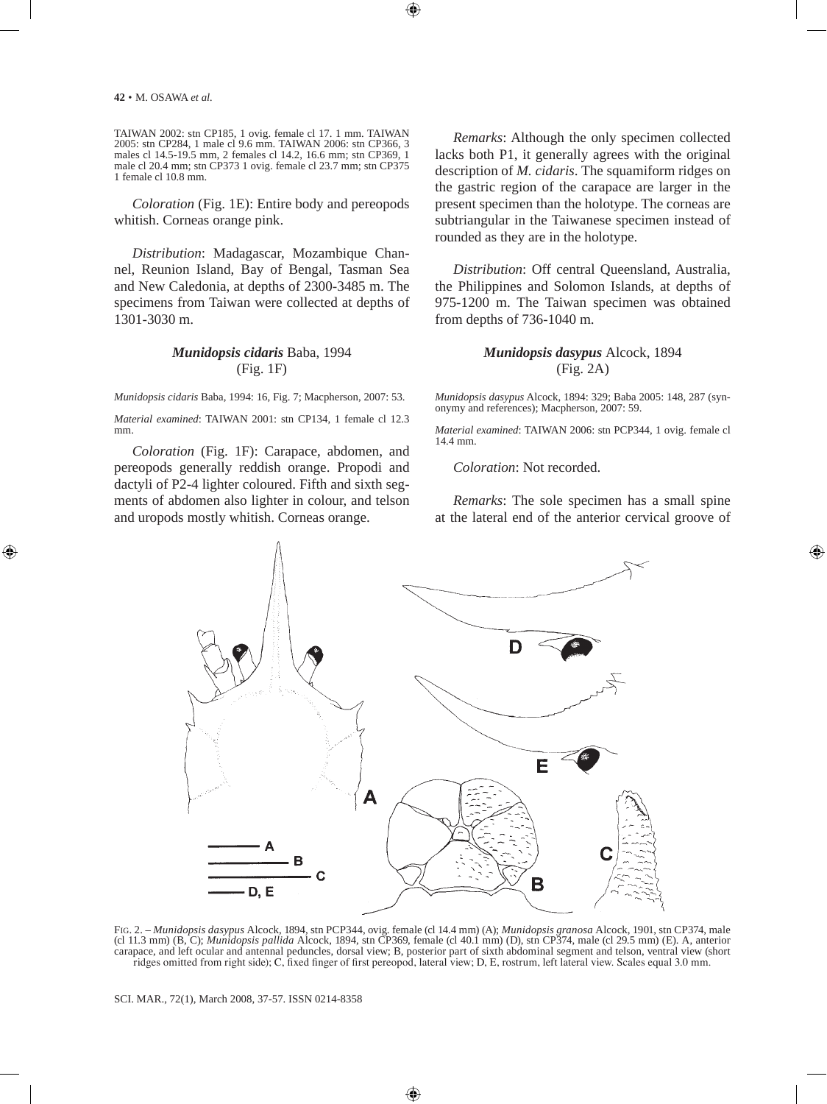TAIWAN 2002: stn CP185, 1 ovig. female cl 17. 1 mm. TAIWAN 2005: stn CP284, 1 male cl 9.6 mm. TAIWAN 2006: stn CP366, 3 males cl 14.5-19.5 mm, 2 females cl 14.2, 16.6 mm; stn CP369, 1 male cl 20.4 mm; stn CP373 1 ovig. female cl 23.7 mm; stn CP375 1 female cl 10.8 mm.

*Coloration* (Fig. 1E): Entire body and pereopods whitish. Corneas orange pink.

*Distribution*: Madagascar, Mozambique Channel, Reunion Island, Bay of Bengal, Tasman Sea and New Caledonia, at depths of 2300-3485 m. The specimens from Taiwan were collected at depths of 1301-3030 m.

# *Munidopsis cidaris* Baba, 1994 (Fig. 1F)

*Munidopsis cidaris* Baba, 1994: 16, Fig. 7; Macpherson, 2007: 53.

*Material examined*: TAIWAN 2001: stn CP134, 1 female cl 12.3 mm.

*Coloration* (Fig. 1F): Carapace, abdomen, and pereopods generally reddish orange. Propodi and dactyli of P2-4 lighter coloured. Fifth and sixth segments of abdomen also lighter in colour, and telson and uropods mostly whitish. Corneas orange.

*Remarks*: Although the only specimen collected lacks both P1, it generally agrees with the original description of *M. cidaris*. The squamiform ridges on the gastric region of the carapace are larger in the present specimen than the holotype. The corneas are subtriangular in the Taiwanese specimen instead of rounded as they are in the holotype.

*Distribution*: Off central Queensland, Australia, the Philippines and Solomon Islands, at depths of 975-1200 m. The Taiwan specimen was obtained from depths of 736-1040 m.

# *Munidopsis dasypus* Alcock, 1894 (Fig. 2A)

*Munidopsis dasypus* Alcock, 1894: 329; Baba 2005: 148, 287 (synonymy and references); Macpherson, 2007: 59.

*Material examined*: TAIWAN 2006: stn PCP344, 1 ovig. female cl 14.4 mm.

*Coloration*: Not recorded.

*Remarks*: The sole specimen has a small spine at the lateral end of the anterior cervical groove of



Fig. 2. – *Munidopsis dasypus* Alcock, 1894, stn PCP344, ovig. female (cl 14.4 mm) (A); *Munidopsis granosa* Alcock, 1901, stn CP374, male (cl 11.3 mm) (B, C); *Munidopsis pallida* Alcock, 1894, stn CP369, female (cl 40.1 mm) (D), stn CP374, male (cl 29.5 mm) (E). A, anterior carapace, and left ocular and antennal peduncles, dorsal view; B, posterior part of sixth abdominal segment and telson, ventral view (short ridges omitted from right side); C, fixed finger of first pereopod, lateral view; D, E, rostrum, left lateral view. Scales equal 3.0 mm.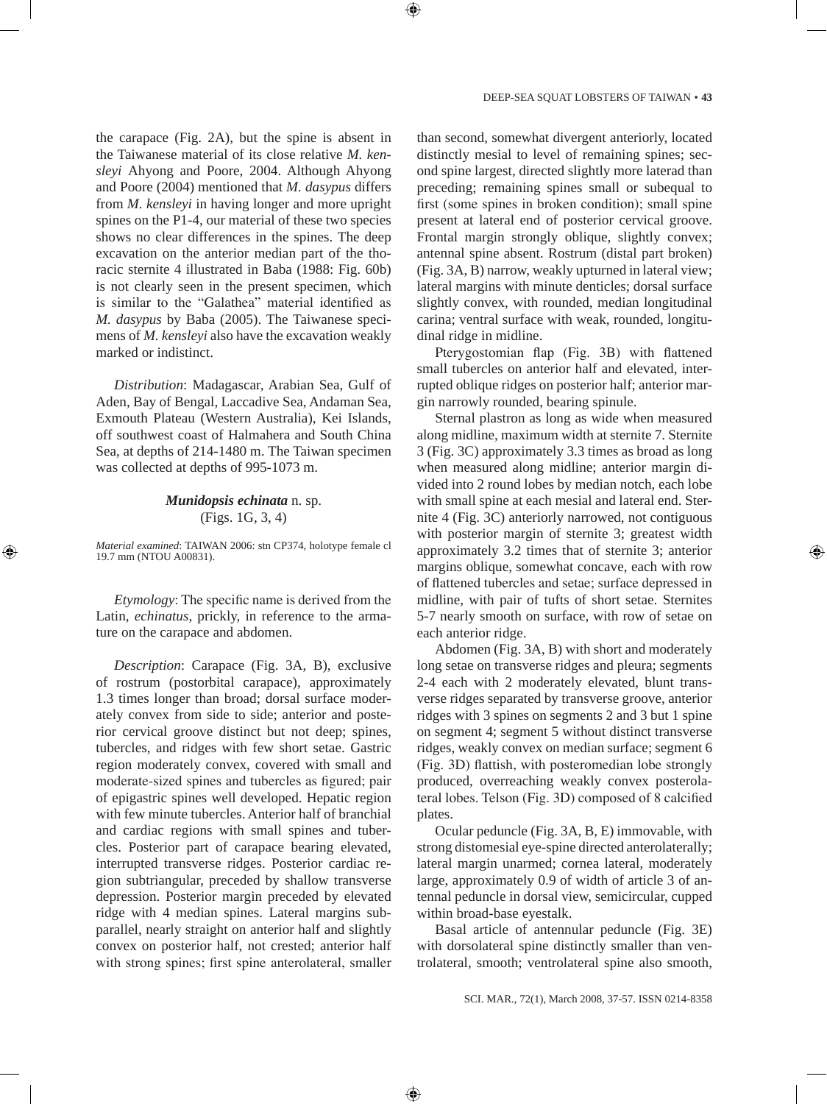the carapace (Fig. 2A), but the spine is absent in the Taiwanese material of its close relative *M. kensleyi* Ahyong and Poore, 2004. Although Ahyong and Poore (2004) mentioned that *M. dasypus* differs from *M. kensleyi* in having longer and more upright spines on the P1-4, our material of these two species shows no clear differences in the spines. The deep excavation on the anterior median part of the thoracic sternite 4 illustrated in Baba (1988: Fig. 60b) is not clearly seen in the present specimen, which is similar to the "Galathea" material identified as *M. dasypus* by Baba (2005). The Taiwanese specimens of *M. kensleyi* also have the excavation weakly marked or indistinct.

*Distribution*: Madagascar, Arabian Sea, Gulf of Aden, Bay of Bengal, Laccadive Sea, Andaman Sea, Exmouth Plateau (Western Australia), Kei Islands, off southwest coast of Halmahera and South China Sea, at depths of 214-1480 m. The Taiwan specimen was collected at depths of 995-1073 m.

# *Munidopsis echinata* n. sp. (Figs. 1G, 3, 4)

*Material examined*: TAIWAN 2006: stn CP374, holotype female cl 19.7 mm (NTOU A00831).

*Etymology*: The specific name is derived from the Latin, *echinatus*, prickly, in reference to the armature on the carapace and abdomen.

*Description*: Carapace (Fig. 3A, B), exclusive of rostrum (postorbital carapace), approximately 1.3 times longer than broad; dorsal surface moderately convex from side to side; anterior and posterior cervical groove distinct but not deep; spines, tubercles, and ridges with few short setae. Gastric region moderately convex, covered with small and moderate-sized spines and tubercles as figured; pair of epigastric spines well developed. Hepatic region with few minute tubercles. Anterior half of branchial and cardiac regions with small spines and tubercles. Posterior part of carapace bearing elevated, interrupted transverse ridges. Posterior cardiac region subtriangular, preceded by shallow transverse depression. Posterior margin preceded by elevated ridge with 4 median spines. Lateral margins subparallel, nearly straight on anterior half and slightly convex on posterior half, not crested; anterior half with strong spines; first spine anterolateral, smaller than second, somewhat divergent anteriorly, located distinctly mesial to level of remaining spines; second spine largest, directed slightly more laterad than preceding; remaining spines small or subequal to first (some spines in broken condition); small spine present at lateral end of posterior cervical groove. Frontal margin strongly oblique, slightly convex; antennal spine absent. Rostrum (distal part broken) (Fig. 3A, B) narrow, weakly upturned in lateral view; lateral margins with minute denticles; dorsal surface slightly convex, with rounded, median longitudinal carina; ventral surface with weak, rounded, longitudinal ridge in midline.

Pterygostomian flap (Fig. 3B) with flattened small tubercles on anterior half and elevated, interrupted oblique ridges on posterior half; anterior margin narrowly rounded, bearing spinule.

Sternal plastron as long as wide when measured along midline, maximum width at sternite 7. Sternite 3 (Fig. 3C) approximately 3.3 times as broad as long when measured along midline; anterior margin divided into 2 round lobes by median notch, each lobe with small spine at each mesial and lateral end. Sternite 4 (Fig. 3C) anteriorly narrowed, not contiguous with posterior margin of sternite 3; greatest width approximately 3.2 times that of sternite 3; anterior margins oblique, somewhat concave, each with row of flattened tubercles and setae; surface depressed in midline, with pair of tufts of short setae. Sternites 5-7 nearly smooth on surface, with row of setae on each anterior ridge.

Abdomen (Fig. 3A, B) with short and moderately long setae on transverse ridges and pleura; segments 2-4 each with 2 moderately elevated, blunt transverse ridges separated by transverse groove, anterior ridges with 3 spines on segments 2 and 3 but 1 spine on segment 4; segment 5 without distinct transverse ridges, weakly convex on median surface; segment 6 (Fig. 3D) flattish, with posteromedian lobe strongly produced, overreaching weakly convex posterolateral lobes. Telson (Fig. 3D) composed of 8 calcified plates.

Ocular peduncle (Fig. 3A, B, E) immovable, with strong distomesial eye-spine directed anterolaterally; lateral margin unarmed; cornea lateral, moderately large, approximately 0.9 of width of article 3 of antennal peduncle in dorsal view, semicircular, cupped within broad-base eyestalk.

Basal article of antennular peduncle (Fig. 3E) with dorsolateral spine distinctly smaller than ventrolateral, smooth; ventrolateral spine also smooth,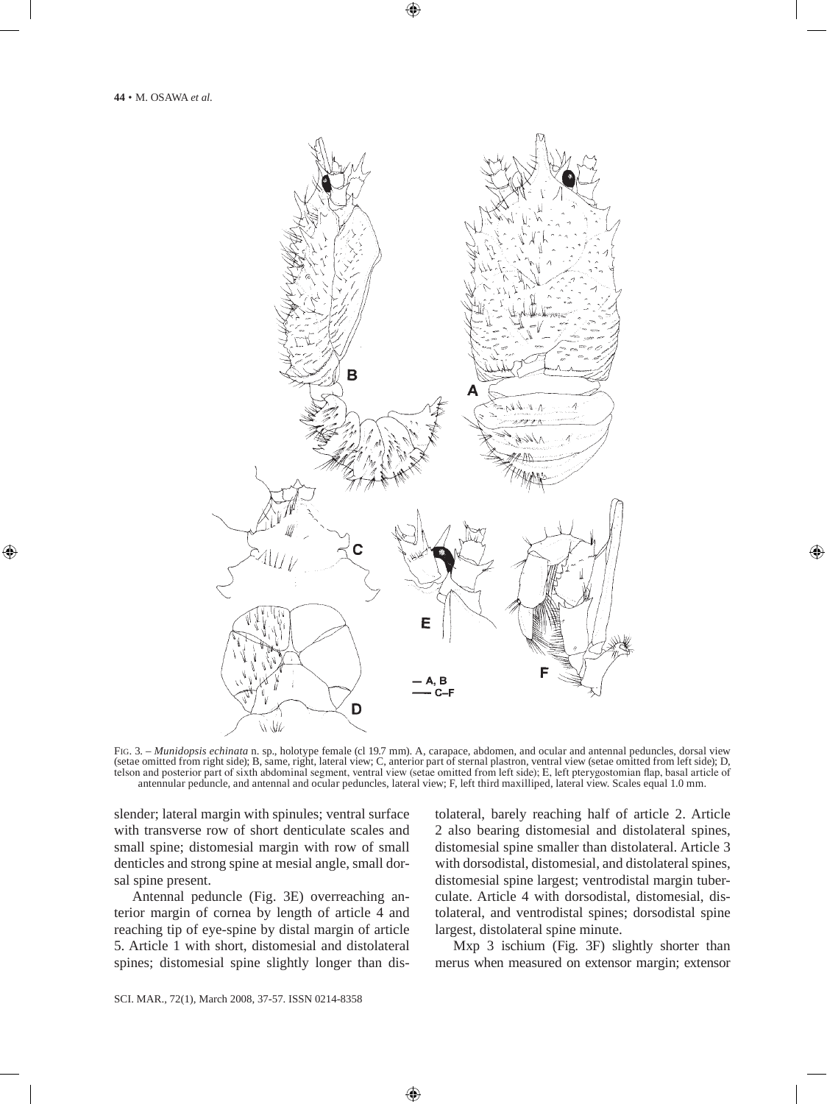

Fig. 3. – *Munidopsis echinata* n. sp., holotype female (cl 19.7 mm). A, carapace, abdomen, and ocular and antennal peduncles, dorsal view (setae omitted from right side); B, same, right, lateral view; C, anterior part of sternal plastron, ventral view (setae omitted from left side); D, telson and posterior part of sixth abdominal segment, ventral view (setae omitted from left side); E, left pterygostomian flap, basal article of antennular peduncle, and antennal and ocular peduncles, lateral view; F, left third maxilliped, lateral view. Scales equal 1.0 mm.

slender; lateral margin with spinules; ventral surface with transverse row of short denticulate scales and small spine; distomesial margin with row of small denticles and strong spine at mesial angle, small dorsal spine present.

Antennal peduncle (Fig. 3E) overreaching anterior margin of cornea by length of article 4 and reaching tip of eye-spine by distal margin of article 5. Article 1 with short, distomesial and distolateral spines; distomesial spine slightly longer than distolateral, barely reaching half of article 2. Article 2 also bearing distomesial and distolateral spines, distomesial spine smaller than distolateral. Article 3 with dorsodistal, distomesial, and distolateral spines, distomesial spine largest; ventrodistal margin tuberculate. Article 4 with dorsodistal, distomesial, distolateral, and ventrodistal spines; dorsodistal spine largest, distolateral spine minute.

Mxp 3 ischium (Fig. 3F) slightly shorter than merus when measured on extensor margin; extensor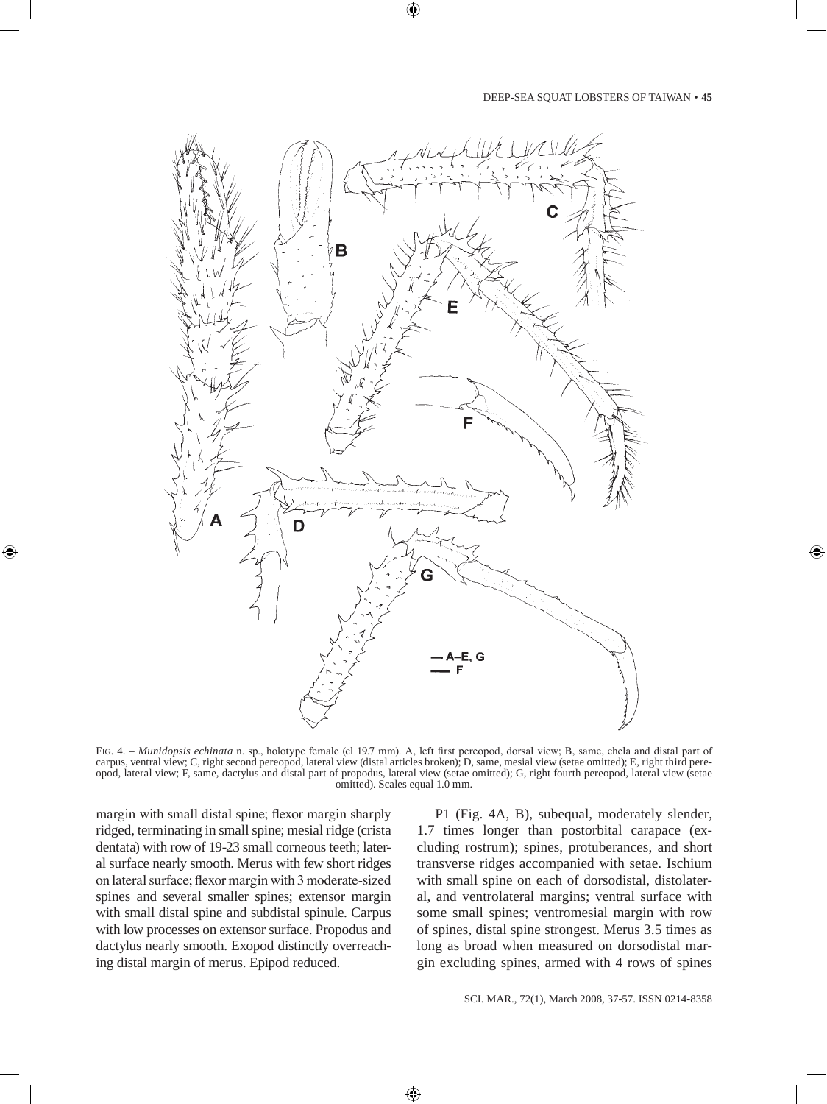

Fig. 4. – *Munidopsis echinata* n. sp., holotype female (cl 19.7 mm). A, left first pereopod, dorsal view; B, same, chela and distal part of carpus, ventral view; C, right second pereopod, lateral view (distal articles broken); D, same, mesial view (setae omitted); E, right third pereopod, lateral view; F, same, dactylus and distal part of propodus, lateral view (setae omitted); G, right fourth pereopod, lateral view (setae omitted). Scales equal 1.0 mm.

margin with small distal spine; flexor margin sharply ridged, terminating in small spine; mesial ridge (crista dentata) with row of 19-23 small corneous teeth; lateral surface nearly smooth. Merus with few short ridges on lateral surface; flexor margin with 3 moderate-sized spines and several smaller spines; extensor margin with small distal spine and subdistal spinule. Carpus with low processes on extensor surface. Propodus and dactylus nearly smooth. Exopod distinctly overreaching distal margin of merus. Epipod reduced.

P1 (Fig. 4A, B), subequal, moderately slender, 1.7 times longer than postorbital carapace (excluding rostrum); spines, protuberances, and short transverse ridges accompanied with setae. Ischium with small spine on each of dorsodistal, distolateral, and ventrolateral margins; ventral surface with some small spines; ventromesial margin with row of spines, distal spine strongest. Merus 3.5 times as long as broad when measured on dorsodistal margin excluding spines, armed with 4 rows of spines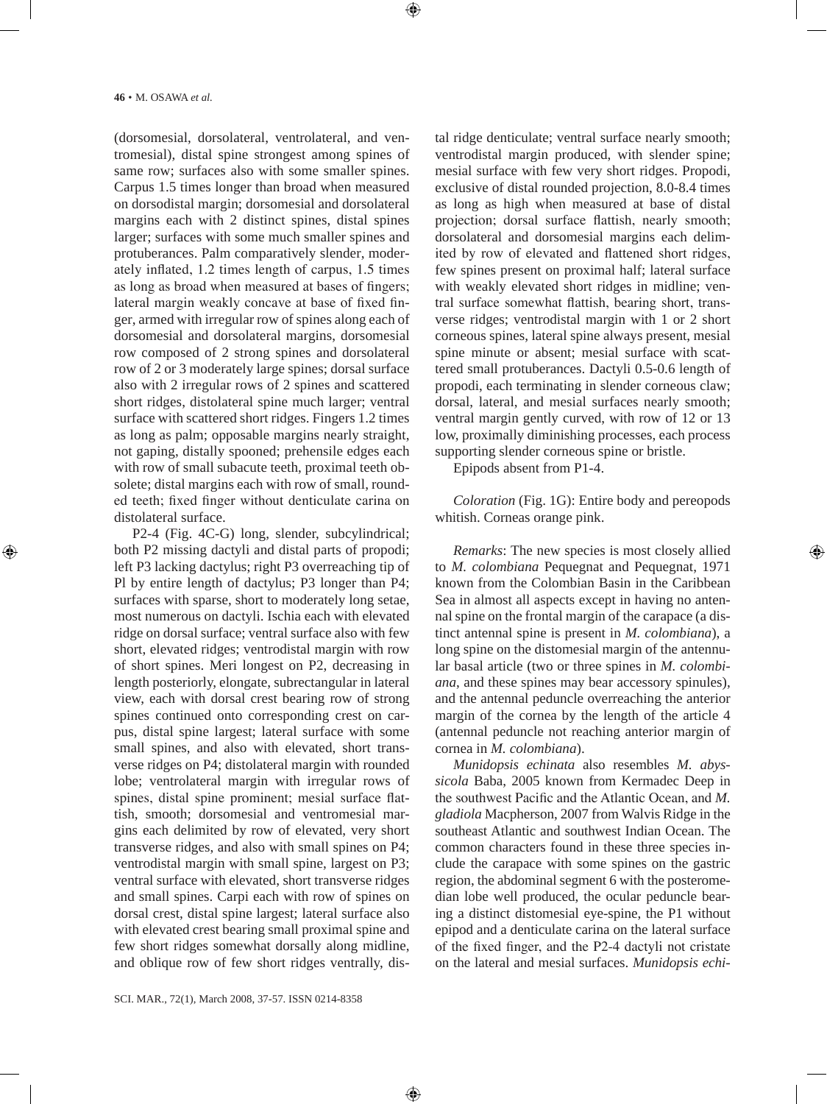(dorsomesial, dorsolateral, ventrolateral, and ventromesial), distal spine strongest among spines of same row; surfaces also with some smaller spines. Carpus 1.5 times longer than broad when measured on dorsodistal margin; dorsomesial and dorsolateral margins each with 2 distinct spines, distal spines larger; surfaces with some much smaller spines and protuberances. Palm comparatively slender, moderately inflated, 1.2 times length of carpus, 1.5 times as long as broad when measured at bases of fingers; lateral margin weakly concave at base of fixed finger, armed with irregular row of spines along each of dorsomesial and dorsolateral margins, dorsomesial row composed of 2 strong spines and dorsolateral row of 2 or 3 moderately large spines; dorsal surface also with 2 irregular rows of 2 spines and scattered short ridges, distolateral spine much larger; ventral surface with scattered short ridges. Fingers 1.2 times as long as palm; opposable margins nearly straight, not gaping, distally spooned; prehensile edges each with row of small subacute teeth, proximal teeth obsolete; distal margins each with row of small, rounded teeth; fixed finger without denticulate carina on distolateral surface.

P2-4 (Fig. 4C-G) long, slender, subcylindrical; both P2 missing dactyli and distal parts of propodi; left P3 lacking dactylus; right P3 overreaching tip of Pl by entire length of dactylus; P3 longer than P4; surfaces with sparse, short to moderately long setae, most numerous on dactyli. Ischia each with elevated ridge on dorsal surface; ventral surface also with few short, elevated ridges; ventrodistal margin with row of short spines. Meri longest on P2, decreasing in length posteriorly, elongate, subrectangular in lateral view, each with dorsal crest bearing row of strong spines continued onto corresponding crest on carpus, distal spine largest; lateral surface with some small spines, and also with elevated, short transverse ridges on P4; distolateral margin with rounded lobe; ventrolateral margin with irregular rows of spines, distal spine prominent; mesial surface flattish, smooth; dorsomesial and ventromesial margins each delimited by row of elevated, very short transverse ridges, and also with small spines on P4; ventrodistal margin with small spine, largest on P3; ventral surface with elevated, short transverse ridges and small spines. Carpi each with row of spines on dorsal crest, distal spine largest; lateral surface also with elevated crest bearing small proximal spine and few short ridges somewhat dorsally along midline, and oblique row of few short ridges ventrally, distal ridge denticulate; ventral surface nearly smooth; ventrodistal margin produced, with slender spine; mesial surface with few very short ridges. Propodi, exclusive of distal rounded projection, 8.0-8.4 times as long as high when measured at base of distal projection; dorsal surface flattish, nearly smooth; dorsolateral and dorsomesial margins each delimited by row of elevated and flattened short ridges, few spines present on proximal half; lateral surface with weakly elevated short ridges in midline; ventral surface somewhat flattish, bearing short, transverse ridges; ventrodistal margin with 1 or 2 short corneous spines, lateral spine always present, mesial spine minute or absent; mesial surface with scattered small protuberances. Dactyli 0.5-0.6 length of propodi, each terminating in slender corneous claw; dorsal, lateral, and mesial surfaces nearly smooth; ventral margin gently curved, with row of 12 or 13 low, proximally diminishing processes, each process supporting slender corneous spine or bristle.

Epipods absent from P1-4.

*Coloration* (Fig. 1G): Entire body and pereopods whitish. Corneas orange pink.

*Remarks*: The new species is most closely allied to *M. colombiana* Pequegnat and Pequegnat, 1971 known from the Colombian Basin in the Caribbean Sea in almost all aspects except in having no antennal spine on the frontal margin of the carapace (a distinct antennal spine is present in *M. colombiana*), a long spine on the distomesial margin of the antennular basal article (two or three spines in *M. colombiana*, and these spines may bear accessory spinules), and the antennal peduncle overreaching the anterior margin of the cornea by the length of the article 4 (antennal peduncle not reaching anterior margin of cornea in *M. colombiana*).

*Munidopsis echinata* also resembles *M. abyssicola* Baba, 2005 known from Kermadec Deep in the southwest Pacific and the Atlantic Ocean, and *M. gladiola* Macpherson, 2007 from Walvis Ridge in the southeast Atlantic and southwest Indian Ocean. The common characters found in these three species include the carapace with some spines on the gastric region, the abdominal segment 6 with the posteromedian lobe well produced, the ocular peduncle bearing a distinct distomesial eye-spine, the P1 without epipod and a denticulate carina on the lateral surface of the fixed finger, and the P2-4 dactyli not cristate on the lateral and mesial surfaces. *Munidopsis echi-*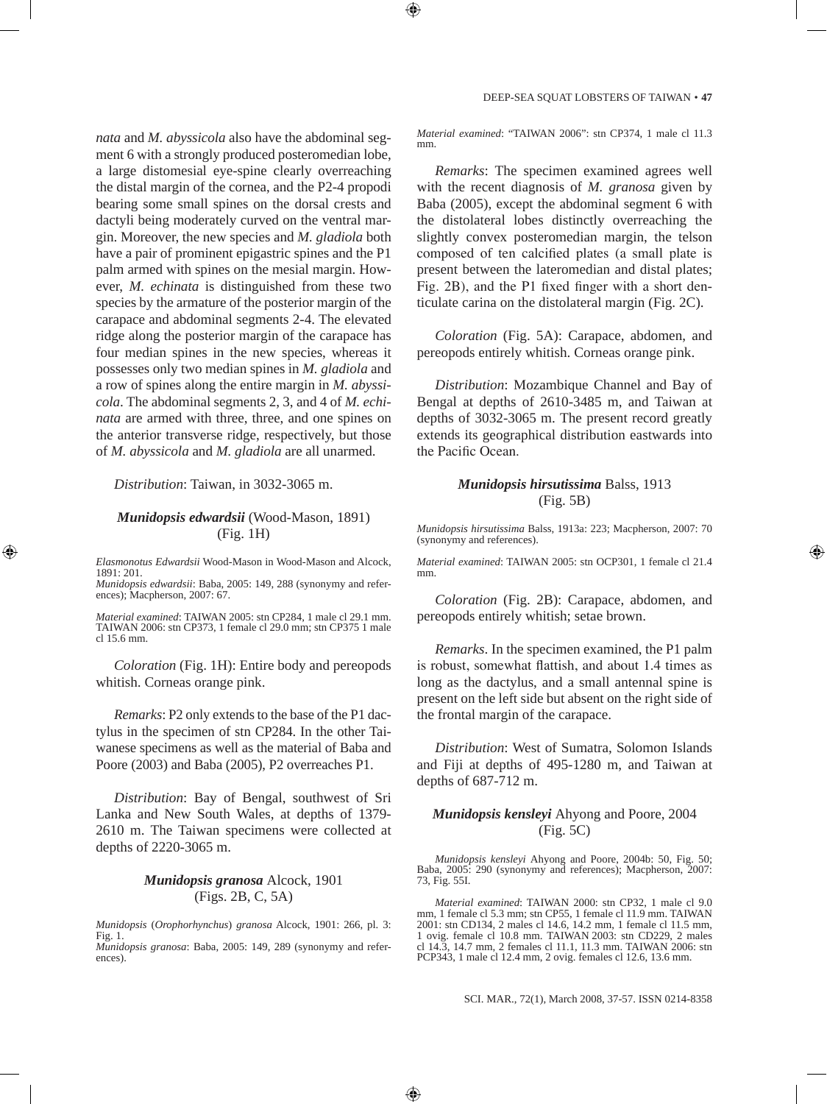*nata* and *M. abyssicola* also have the abdominal segment 6 with a strongly produced posteromedian lobe, a large distomesial eye-spine clearly overreaching the distal margin of the cornea, and the P2-4 propodi bearing some small spines on the dorsal crests and dactyli being moderately curved on the ventral margin. Moreover, the new species and *M. gladiola* both have a pair of prominent epigastric spines and the P1 palm armed with spines on the mesial margin. However, *M. echinata* is distinguished from these two species by the armature of the posterior margin of the carapace and abdominal segments 2-4. The elevated ridge along the posterior margin of the carapace has four median spines in the new species, whereas it possesses only two median spines in *M. gladiola* and a row of spines along the entire margin in *M. abyssicola*. The abdominal segments 2, 3, and 4 of *M. echinata* are armed with three, three, and one spines on the anterior transverse ridge, respectively, but those of *M. abyssicola* and *M. gladiola* are all unarmed.

#### *Distribution*: Taiwan, in 3032-3065 m.

#### *Munidopsis edwardsii* (Wood-Mason, 1891) (Fig. 1H)

*Elasmonotus Edwardsii* Wood-Mason in Wood-Mason and Alcock, 1891: 201.

*Munidopsis edwardsii*: Baba, 2005: 149, 288 (synonymy and references); Macpherson, 2007: 67.

*Material examined*: TAIWAN 2005: stn CP284, 1 male cl 29.1 mm. TAIWAN 2006: stn CP373, 1 female cl 29.0 mm; stn CP375 1 male cl 15.6 mm.

*Coloration* (Fig. 1H): Entire body and pereopods whitish. Corneas orange pink.

*Remarks*: P2 only extends to the base of the P1 dactylus in the specimen of stn CP284. In the other Taiwanese specimens as well as the material of Baba and Poore (2003) and Baba (2005), P2 overreaches P1.

*Distribution*: Bay of Bengal, southwest of Sri Lanka and New South Wales, at depths of 1379- 2610 m. The Taiwan specimens were collected at depths of 2220-3065 m.

# *Munidopsis granosa* Alcock, 1901 (Figs. 2B, C, 5A)

*Munidopsis* (*Orophorhynchus*) *granosa* Alcock, 1901: 266, pl. 3:  $Fig. 1.$ 

*Munidopsis granosa*: Baba, 2005: 149, 289 (synonymy and references).

*Material examined*: "TAIWAN 2006": stn CP374, 1 male cl 11.3 mm

*Remarks*: The specimen examined agrees well with the recent diagnosis of *M. granosa* given by Baba (2005), except the abdominal segment 6 with the distolateral lobes distinctly overreaching the slightly convex posteromedian margin, the telson composed of ten calcified plates (a small plate is present between the lateromedian and distal plates; Fig. 2B), and the P1 fixed finger with a short denticulate carina on the distolateral margin (Fig. 2C).

*Coloration* (Fig. 5A): Carapace, abdomen, and pereopods entirely whitish. Corneas orange pink.

*Distribution*: Mozambique Channel and Bay of Bengal at depths of 2610-3485 m, and Taiwan at depths of 3032-3065 m. The present record greatly extends its geographical distribution eastwards into the Pacific Ocean.

#### *Munidopsis hirsutissima* Balss, 1913 (Fig. 5B)

*Munidopsis hirsutissima* Balss, 1913a: 223; Macpherson, 2007: 70 (synonymy and references).

*Material examined*: TAIWAN 2005: stn OCP301, 1 female cl 21.4

*Coloration* (Fig. 2B): Carapace, abdomen, and pereopods entirely whitish; setae brown.

*Remarks*. In the specimen examined, the P1 palm is robust, somewhat flattish, and about 1.4 times as long as the dactylus, and a small antennal spine is present on the left side but absent on the right side of the frontal margin of the carapace.

*Distribution*: West of Sumatra, Solomon Islands and Fiji at depths of 495-1280 m, and Taiwan at depths of 687-712 m.

# *Munidopsis kensleyi* Ahyong and Poore, 2004 (Fig. 5C)

*Munidopsis kensleyi* Ahyong and Poore, 2004b: 50, Fig. 50; Baba, 2005: 290 (synonymy and references); Macpherson, 2007: 73, Fig. 55I.

*Material examined*: TAIWAN 2000: stn CP32, 1 male cl 9.0 mm, 1 female cl 5.3 mm; stn CP55, 1 female cl 11.9 mm. TAIWAN 2001: stn CD134, 2 males cl 14.6, 14.2 mm, 1 female cl 11.5 mm, 1 ovig. female cl 10.8 mm. TAIWAN 2003: stn CD229, 2 males cl 14.3, 14.7 mm, 2 females cl 11.1, 11.3 mm. TAIWAN 2006: stn PCP343, 1 male cl 12.4 mm, 2 ovig. females cl 12.6, 13.6 mm.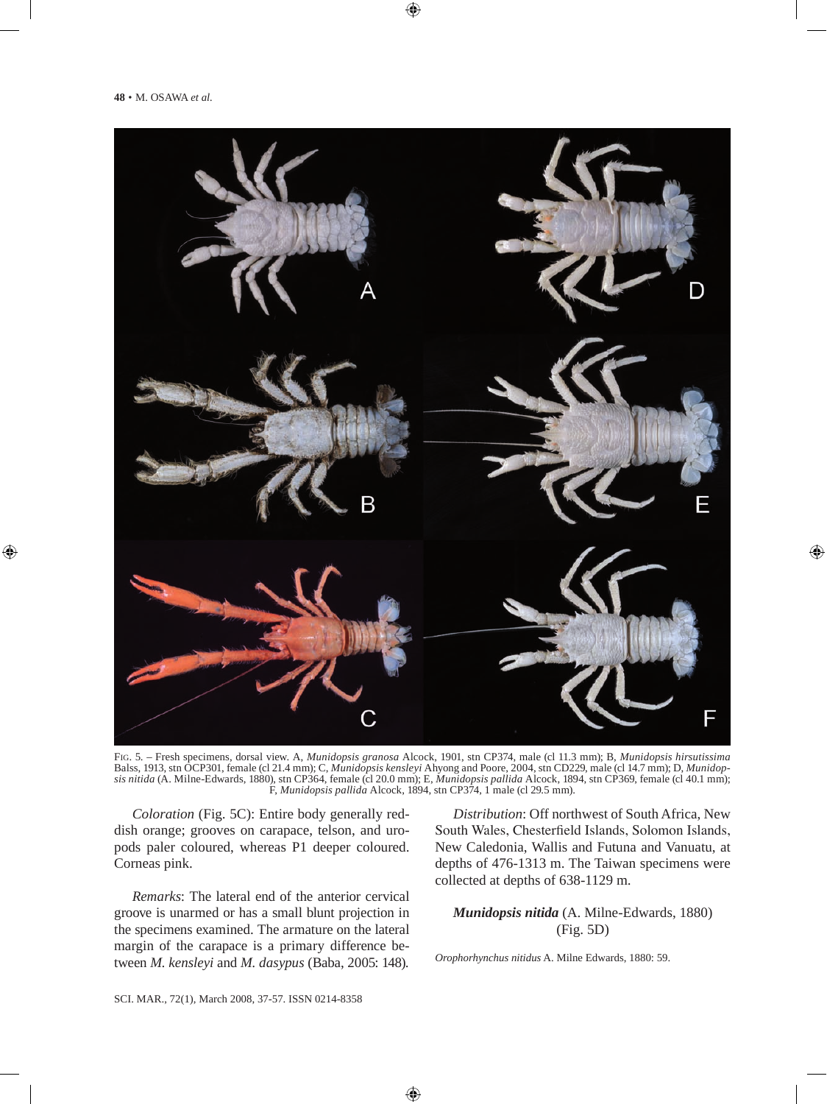

Fig. 5. – Fresh specimens, dorsal view. A, *Munidopsis granosa* Alcock, 1901, stn CP374, male (cl 11.3 mm); B, *Munidopsis hirsutissima* Balss, 1913, stn OCP301, female (cl 21.4 mm); C, *Munidopsis kensleyi* Ahyong and Poore, 2004, stn CD229, male (cl 14.7 mm); D, *Munidopsis nitida* (A. Milne-Edwards, 1880), stn CP364, female (cl 20.0 mm); E, *Munidopsis pallida* Alcock, 1894, stn CP369, female (cl 40.1 mm); F, *Munidopsis pallida* Alcock, 1894, stn CP374, 1 male (cl 29.5 mm).

*Coloration* (Fig. 5C): Entire body generally reddish orange; grooves on carapace, telson, and uropods paler coloured, whereas P1 deeper coloured. Corneas pink.

*Remarks*: The lateral end of the anterior cervical groove is unarmed or has a small blunt projection in the specimens examined. The armature on the lateral margin of the carapace is a primary difference between *M. kensleyi* and *M. dasypus* (Baba, 2005: 148).

*Distribution*: Off northwest of South Africa, New South Wales, Chesterfield Islands, Solomon Islands, New Caledonia, Wallis and Futuna and Vanuatu, at depths of 476-1313 m. The Taiwan specimens were collected at depths of 638-1129 m.

*Munidopsis nitida* (A. Milne-Edwards, 1880) (Fig. 5D)

*Orophorhynchus nitidus* A. Milne Edwards, 1880: 59.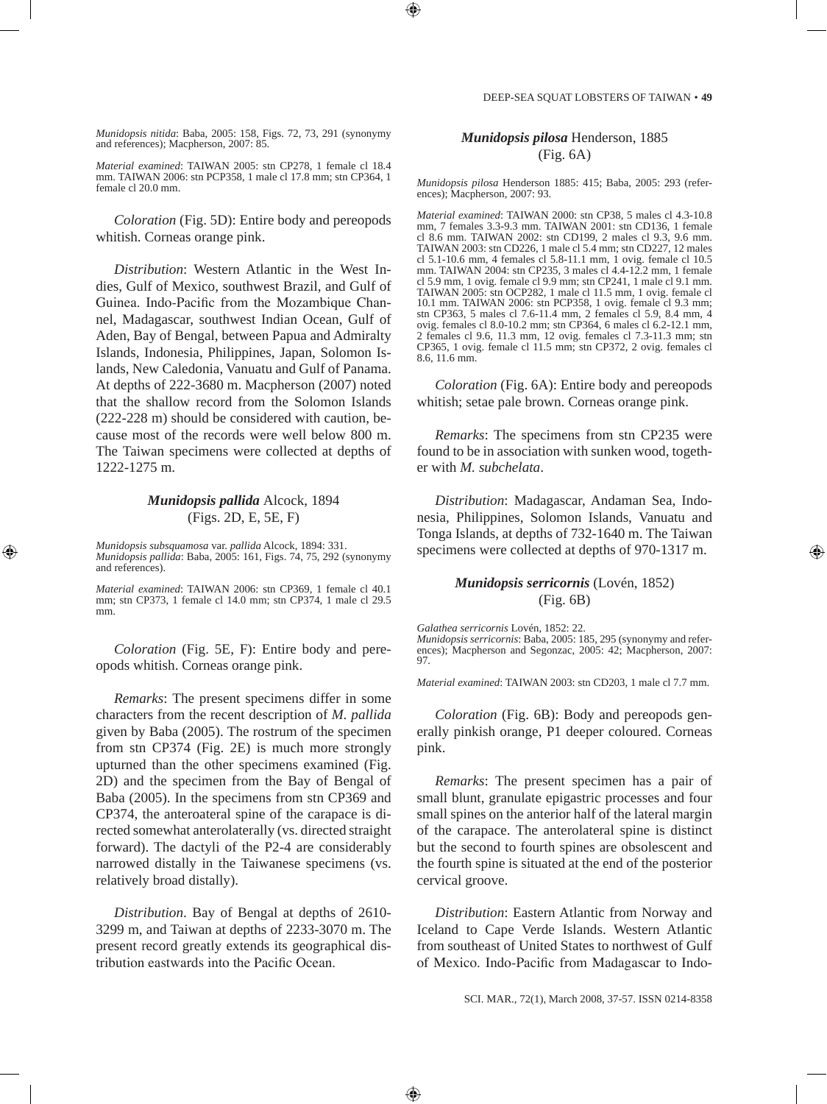*Munidopsis nitida*: Baba, 2005: 158, Figs. 72, 73, 291 (synonymy and references); Macpherson, 2007: 85.

*Material examined*: TAIWAN 2005: stn CP278, 1 female cl 18.4 mm. TAIWAN 2006: stn PCP358, 1 male cl 17.8 mm; stn CP364, 1 female cl 20.0 mm.

*Coloration* (Fig. 5D): Entire body and pereopods whitish. Corneas orange pink.

*Distribution*: Western Atlantic in the West Indies, Gulf of Mexico, southwest Brazil, and Gulf of Guinea. Indo-Pacific from the Mozambique Channel, Madagascar, southwest Indian Ocean, Gulf of Aden, Bay of Bengal, between Papua and Admiralty Islands, Indonesia, Philippines, Japan, Solomon Islands, New Caledonia, Vanuatu and Gulf of Panama. At depths of 222-3680 m. Macpherson (2007) noted that the shallow record from the Solomon Islands (222-228 m) should be considered with caution, because most of the records were well below 800 m. The Taiwan specimens were collected at depths of 1222-1275 m.

#### *Munidopsis pallida* Alcock, 1894 (Figs. 2D, E, 5E, F)

*Munidopsis subsquamosa* var. *pallida* Alcock, 1894: 331. *Munidopsis pallida*: Baba, 2005: 161, Figs. 74, 75, 292 (synonymy and references).

*Material examined*: TAIWAN 2006: stn CP369, 1 female cl 40.1 mm; stn CP373, 1 female cl 14.0 mm; stn CP374, 1 male cl 29.5 mm.

*Coloration* (Fig. 5E, F): Entire body and pereopods whitish. Corneas orange pink.

*Remarks*: The present specimens differ in some characters from the recent description of *M. pallida*  given by Baba (2005). The rostrum of the specimen from stn CP374 (Fig. 2E) is much more strongly upturned than the other specimens examined (Fig. 2D) and the specimen from the Bay of Bengal of Baba (2005). In the specimens from stn CP369 and CP374, the anteroateral spine of the carapace is directed somewhat anterolaterally (vs. directed straight forward). The dactyli of the P2-4 are considerably narrowed distally in the Taiwanese specimens (vs. relatively broad distally).

*Distribution*. Bay of Bengal at depths of 2610- 3299 m, and Taiwan at depths of 2233-3070 m. The present record greatly extends its geographical distribution eastwards into the Pacific Ocean.

# *Munidopsis pilosa* Henderson, 1885 (Fig. 6A)

*Munidopsis pilosa* Henderson 1885: 415; Baba, 2005: 293 (references); Macpherson, 2007: 93.

*Material examined*: TAIWAN 2000: stn CP38, 5 males cl 4.3-10.8 mm, 7 females 3.3-9.3 mm. TAIWAN 2001: stn CD136, 1 female cl 8.6 mm. TAIWAN 2002: stn CD199, 2 males cl 9.3, 9.6 mm. TAIWAN 2003: stn CD226, 1 male cl 5.4 mm; stn CD227, 12 males cl 5.1-10.6 mm, 4 females cl 5.8-11.1 mm, 1 ovig. female cl 10.5 mm. TAIWAN 2004: stn CP235, 3 males cl 4.4-12.2 mm, 1 female cl 5.9 mm, 1 ovig. female cl 9.9 mm; stn CP241, 1 male cl 9.1 mm. TAIWAN 2005: stn OCP282, 1 male cl 11.5 mm, 1 ovig. female cl 10.1 mm. TAIWAN 2006: stn PCP358, 1 ovig. female cl 9.3 mm; stn CP363, 5 males cl 7.6-11.4 mm, 2 females cl 5.9, 8.4 mm, 4 ovig. females cl 8.0-10.2 mm; stn CP364, 6 males cl 6.2-12.1 mm, 2 females cl 9.6, 11.3 mm, 12 ovig. females cl 7.3-11.3 mm; stn CP365, 1 ovig. female cl 11.5 mm; stn CP372, 2 ovig. females cl 8.6, 11.6 mm.

*Coloration* (Fig. 6A): Entire body and pereopods whitish; setae pale brown. Corneas orange pink.

*Remarks*: The specimens from stn CP235 were found to be in association with sunken wood, together with *M. subchelata*.

*Distribution*: Madagascar, Andaman Sea, Indonesia, Philippines, Solomon Islands, Vanuatu and Tonga Islands, at depths of 732-1640 m. The Taiwan specimens were collected at depths of 970-1317 m.

#### *Munidopsis serricornis* (Lovén, 1852) (Fig. 6B)

*Galathea serricornis* Lovén, 1852: 22. *Munidopsis serricornis*: Baba, 2005: 185, 295 (synonymy and references); Macpherson and Segonzac, 2005: 42; Macpherson, 2007: 97.

*Material examined*: TAIWAN 2003: stn CD203, 1 male cl 7.7 mm.

*Coloration* (Fig. 6B): Body and pereopods generally pinkish orange, P1 deeper coloured. Corneas pink.

*Remarks*: The present specimen has a pair of small blunt, granulate epigastric processes and four small spines on the anterior half of the lateral margin of the carapace. The anterolateral spine is distinct but the second to fourth spines are obsolescent and the fourth spine is situated at the end of the posterior cervical groove.

*Distribution*: Eastern Atlantic from Norway and Iceland to Cape Verde Islands. Western Atlantic from southeast of United States to northwest of Gulf of Mexico. Indo-Pacific from Madagascar to Indo-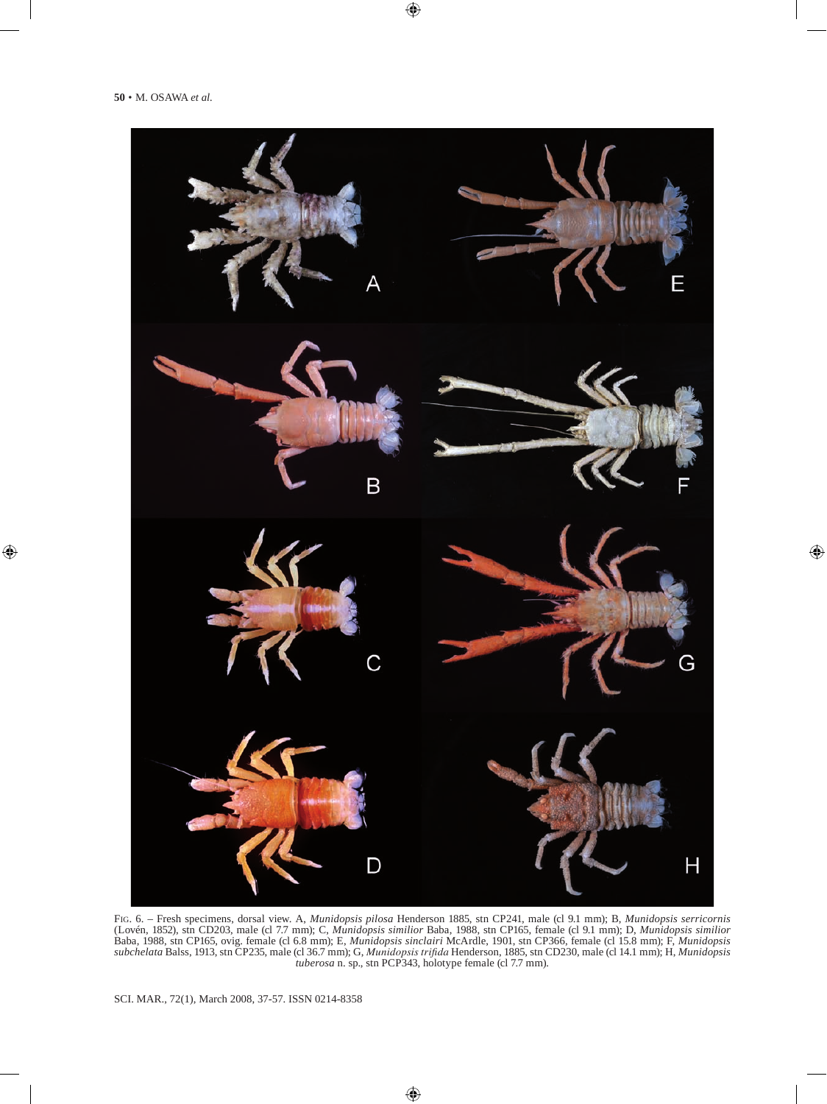

Fig. 6. – Fresh specimens, dorsal view. A, *Munidopsis pilosa* Henderson 1885, stn CP241, male (cl 9.1 mm); B, *Munidopsis serricornis* (Lovén, 1852), stn CD203, male (cl 7.7 mm); C, *Munidopsis similior* Baba, 1988, stn CP165, female (cl 9.1 mm); D, *Munidopsis similior* Baba, 1988, stn CP165, ovig. female (cl 6.8 mm); E, *Munidopsis sinclairi* McArdle, 1901, stn CP366, female (cl 15.8 mm); F, *Munidopsis subchelata* Balss, 1913, stn CP235, male (cl 36.7 mm); G, *Munidopsis trifida* Henderson, 1885, stn CD230, male (cl 14.1 mm); H, *Munidopsis tuberosa* n. sp., stn PCP343, holotype female (cl 7.7 mm).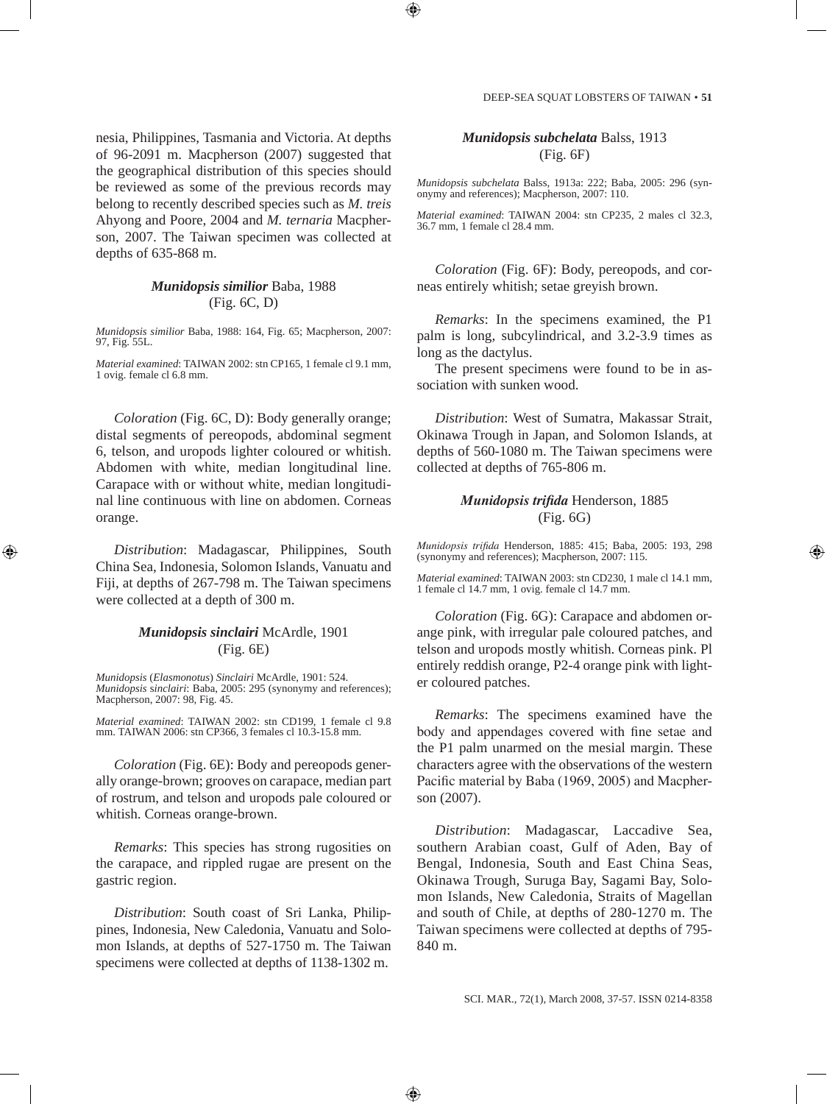nesia, Philippines, Tasmania and Victoria. At depths of 96-2091 m. Macpherson (2007) suggested that the geographical distribution of this species should be reviewed as some of the previous records may belong to recently described species such as *M. treis* Ahyong and Poore, 2004 and *M. ternaria* Macpherson, 2007. The Taiwan specimen was collected at depths of 635-868 m.

#### *Munidopsis similior* Baba, 1988 (Fig. 6C, D)

*Munidopsis similior* Baba, 1988: 164, Fig. 65; Macpherson, 2007: 97, Fig. 55L.

*Material examined*: TAIWAN 2002: stn CP165, 1 female cl 9.1 mm, 1 ovig. female cl 6.8 mm.

*Coloration* (Fig. 6C, D): Body generally orange; distal segments of pereopods, abdominal segment 6, telson, and uropods lighter coloured or whitish. Abdomen with white, median longitudinal line. Carapace with or without white, median longitudinal line continuous with line on abdomen. Corneas orange.

*Distribution*: Madagascar, Philippines, South China Sea, Indonesia, Solomon Islands, Vanuatu and Fiji, at depths of 267-798 m. The Taiwan specimens were collected at a depth of 300 m.

# *Munidopsis sinclairi* McArdle, 1901 (Fig. 6E)

*Munidopsis* (*Elasmonotus*) *Sinclairi* McArdle, 1901: 524. *Munidopsis* s*inclairi*: Baba, 2005: 295 (synonymy and references); Macpherson, 2007: 98, Fig. 45.

*Material examined*: TAIWAN 2002: stn CD199, 1 female cl 9.8 mm. TAIWAN 2006: stn CP366, 3 females cl 10.3-15.8 mm.

*Coloration* (Fig. 6E): Body and pereopods generally orange-brown; grooves on carapace, median part of rostrum, and telson and uropods pale coloured or whitish. Corneas orange-brown.

*Remarks*: This species has strong rugosities on the carapace, and rippled rugae are present on the gastric region.

*Distribution*: South coast of Sri Lanka, Philippines, Indonesia, New Caledonia, Vanuatu and Solomon Islands, at depths of 527-1750 m. The Taiwan specimens were collected at depths of 1138-1302 m.

# *Munidopsis subchelata* Balss, 1913 (Fig. 6F)

*Munidopsis subchelata* Balss, 1913a: 222; Baba, 2005: 296 (synonymy and references); Macpherson, 2007: 110.

*Material examined*: TAIWAN 2004: stn CP235, 2 males cl 32.3, 36.7 mm, 1 female cl 28.4 mm.

*Coloration* (Fig. 6F): Body, pereopods, and corneas entirely whitish; setae greyish brown.

*Remarks*: In the specimens examined, the P1 palm is long, subcylindrical, and 3.2-3.9 times as long as the dactylus.

The present specimens were found to be in association with sunken wood.

*Distribution*: West of Sumatra, Makassar Strait, Okinawa Trough in Japan, and Solomon Islands, at depths of 560-1080 m. The Taiwan specimens were collected at depths of 765-806 m.

## *Munidopsis trifida* Henderson, 1885 (Fig. 6G)

*Munidopsis trifida* Henderson, 1885: 415; Baba, 2005: 193, 298 (synonymy and references); Macpherson, 2007: 115.

*Material examined*: TAIWAN 2003: stn CD230, 1 male cl 14.1 mm, 1 female cl 14.7 mm, 1 ovig. female cl 14.7 mm.

*Coloration* (Fig. 6G): Carapace and abdomen orange pink, with irregular pale coloured patches, and telson and uropods mostly whitish. Corneas pink. Pl entirely reddish orange, P2-4 orange pink with lighter coloured patches.

*Remarks*: The specimens examined have the body and appendages covered with fine setae and the P1 palm unarmed on the mesial margin. These characters agree with the observations of the western Pacific material by Baba (1969, 2005) and Macpherson (2007).

*Distribution*: Madagascar, Laccadive Sea, southern Arabian coast, Gulf of Aden, Bay of Bengal, Indonesia, South and East China Seas, Okinawa Trough, Suruga Bay, Sagami Bay, Solomon Islands, New Caledonia, Straits of Magellan and south of Chile, at depths of 280-1270 m. The Taiwan specimens were collected at depths of 795- 840 m.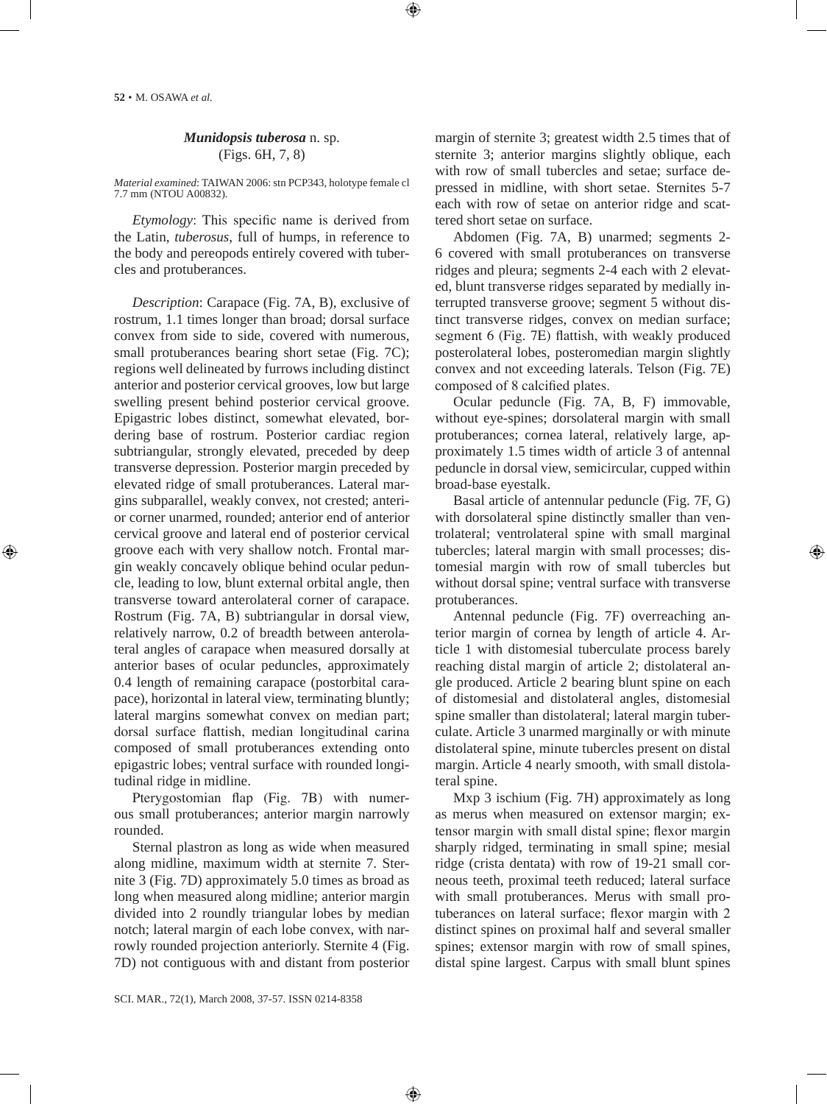# *Munidopsis tuberosa* n. sp. (Figs. 6H, 7, 8)

*Material examined*: TAIWAN 2006: stn PCP343, holotype female cl 7.7 mm (NTOU A00832).

*Etymology*: This specific name is derived from the Latin, *tuberosus*, full of humps, in reference to the body and pereopods entirely covered with tubercles and protuberances.

*Description*: Carapace (Fig. 7A, B), exclusive of rostrum, 1.1 times longer than broad; dorsal surface convex from side to side, covered with numerous, small protuberances bearing short setae (Fig. 7C); regions well delineated by furrows including distinct anterior and posterior cervical grooves, low but large swelling present behind posterior cervical groove. Epigastric lobes distinct, somewhat elevated, bordering base of rostrum. Posterior cardiac region subtriangular, strongly elevated, preceded by deep transverse depression. Posterior margin preceded by elevated ridge of small protuberances. Lateral margins subparallel, weakly convex, not crested; anterior corner unarmed, rounded; anterior end of anterior cervical groove and lateral end of posterior cervical groove each with very shallow notch. Frontal margin weakly concavely oblique behind ocular peduncle, leading to low, blunt external orbital angle, then transverse toward anterolateral corner of carapace. Rostrum (Fig. 7A, B) subtriangular in dorsal view, relatively narrow, 0.2 of breadth between anterolateral angles of carapace when measured dorsally at anterior bases of ocular peduncles, approximately 0.4 length of remaining carapace (postorbital carapace), horizontal in lateral view, terminating bluntly; lateral margins somewhat convex on median part; dorsal surface flattish, median longitudinal carina composed of small protuberances extending onto epigastric lobes; ventral surface with rounded longitudinal ridge in midline.

Pterygostomian flap (Fig. 7B) with numerous small protuberances; anterior margin narrowly rounded.

Sternal plastron as long as wide when measured along midline, maximum width at sternite 7. Sternite 3 (Fig. 7D) approximately 5.0 times as broad as long when measured along midline; anterior margin divided into 2 roundly triangular lobes by median notch; lateral margin of each lobe convex, with narrowly rounded projection anteriorly. Sternite 4 (Fig. 7D) not contiguous with and distant from posterior margin of sternite 3; greatest width 2.5 times that of sternite 3; anterior margins slightly oblique, each with row of small tubercles and setae; surface depressed in midline, with short setae. Sternites 5-7 each with row of setae on anterior ridge and scattered short setae on surface.

Abdomen (Fig. 7A, B) unarmed; segments 2- 6 covered with small protuberances on transverse ridges and pleura; segments 2-4 each with 2 elevated, blunt transverse ridges separated by medially interrupted transverse groove; segment 5 without distinct transverse ridges, convex on median surface; segment 6 (Fig. 7E) flattish, with weakly produced posterolateral lobes, posteromedian margin slightly convex and not exceeding laterals. Telson (Fig. 7E) composed of 8 calcified plates.

Ocular peduncle (Fig. 7A, B, F) immovable, without eye-spines; dorsolateral margin with small protuberances; cornea lateral, relatively large, approximately 1.5 times width of article 3 of antennal peduncle in dorsal view, semicircular, cupped within broad-base eyestalk.

Basal article of antennular peduncle (Fig. 7F, G) with dorsolateral spine distinctly smaller than ventrolateral; ventrolateral spine with small marginal tubercles; lateral margin with small processes; distomesial margin with row of small tubercles but without dorsal spine; ventral surface with transverse protuberances.

Antennal peduncle (Fig. 7F) overreaching anterior margin of cornea by length of article 4. Article 1 with distomesial tuberculate process barely reaching distal margin of article 2; distolateral angle produced. Article 2 bearing blunt spine on each of distomesial and distolateral angles, distomesial spine smaller than distolateral; lateral margin tuberculate. Article 3 unarmed marginally or with minute distolateral spine, minute tubercles present on distal margin. Article 4 nearly smooth, with small distolateral spine.

Mxp 3 ischium (Fig. 7H) approximately as long as merus when measured on extensor margin; extensor margin with small distal spine; flexor margin sharply ridged, terminating in small spine; mesial ridge (crista dentata) with row of 19-21 small corneous teeth, proximal teeth reduced; lateral surface with small protuberances. Merus with small protuberances on lateral surface; flexor margin with 2 distinct spines on proximal half and several smaller spines; extensor margin with row of small spines, distal spine largest. Carpus with small blunt spines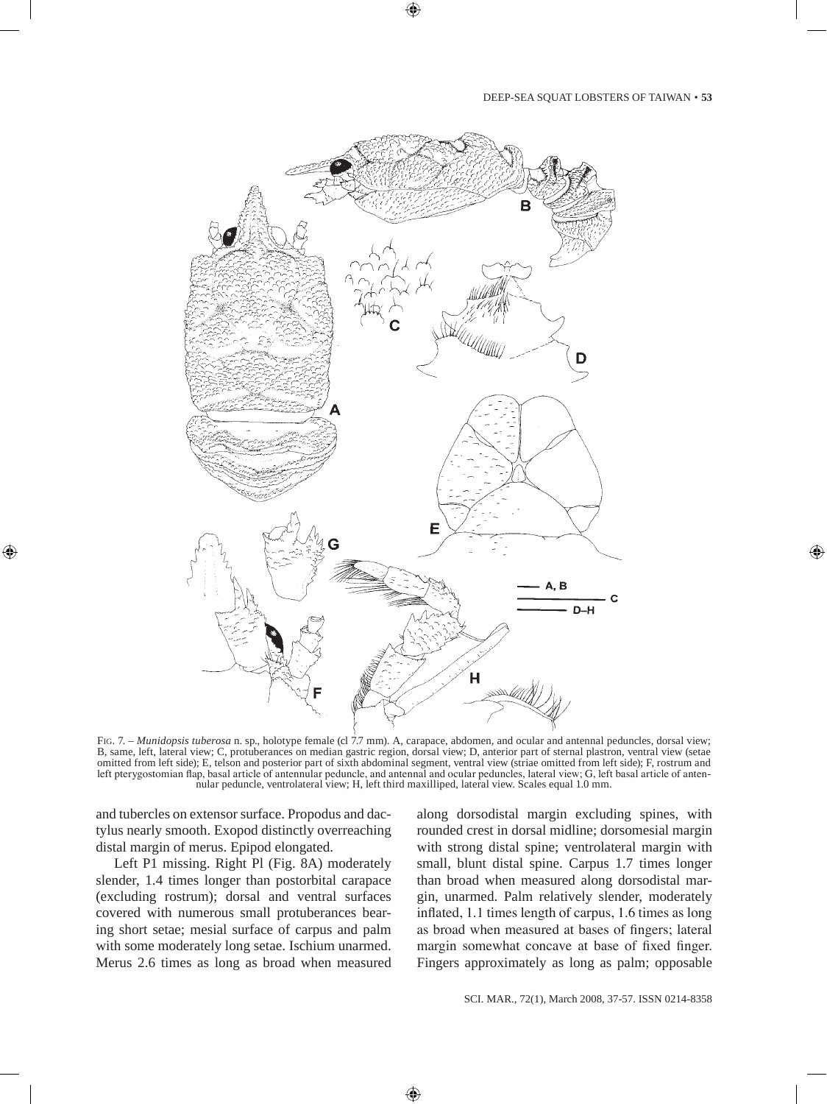

Fig. 7. – *Munidopsis tuberosa* n. sp., holotype female (cl 7.7 mm). A, carapace, abdomen, and ocular and antennal peduncles, dorsal view; B, same, left, lateral view; C, protuberances on median gastric region, dorsal view; D, anterior part of sternal plastron, ventral view (setae omitted from left side); E, telson and posterior part of sixth abdominal segment, ventral view (striae omitted from left side); F, rostrum and left pterygostomian flap, basal article of antennular peduncle, and antennal and ocular peduncles, lateral view; G, left basal article of antennular peduncle, ventrolateral view; H, left third maxilliped, lateral view. Scales equal 1.0 mm.

and tubercles on extensor surface. Propodus and dactylus nearly smooth. Exopod distinctly overreaching distal margin of merus. Epipod elongated.

Left P1 missing. Right Pl (Fig. 8A) moderately slender, 1.4 times longer than postorbital carapace (excluding rostrum); dorsal and ventral surfaces covered with numerous small protuberances bearing short setae; mesial surface of carpus and palm with some moderately long setae. Ischium unarmed. Merus 2.6 times as long as broad when measured along dorsodistal margin excluding spines, with rounded crest in dorsal midline; dorsomesial margin with strong distal spine; ventrolateral margin with small, blunt distal spine. Carpus 1.7 times longer than broad when measured along dorsodistal margin, unarmed. Palm relatively slender, moderately inflated, 1.1 times length of carpus, 1.6 times as long as broad when measured at bases of fingers; lateral margin somewhat concave at base of fixed finger. Fingers approximately as long as palm; opposable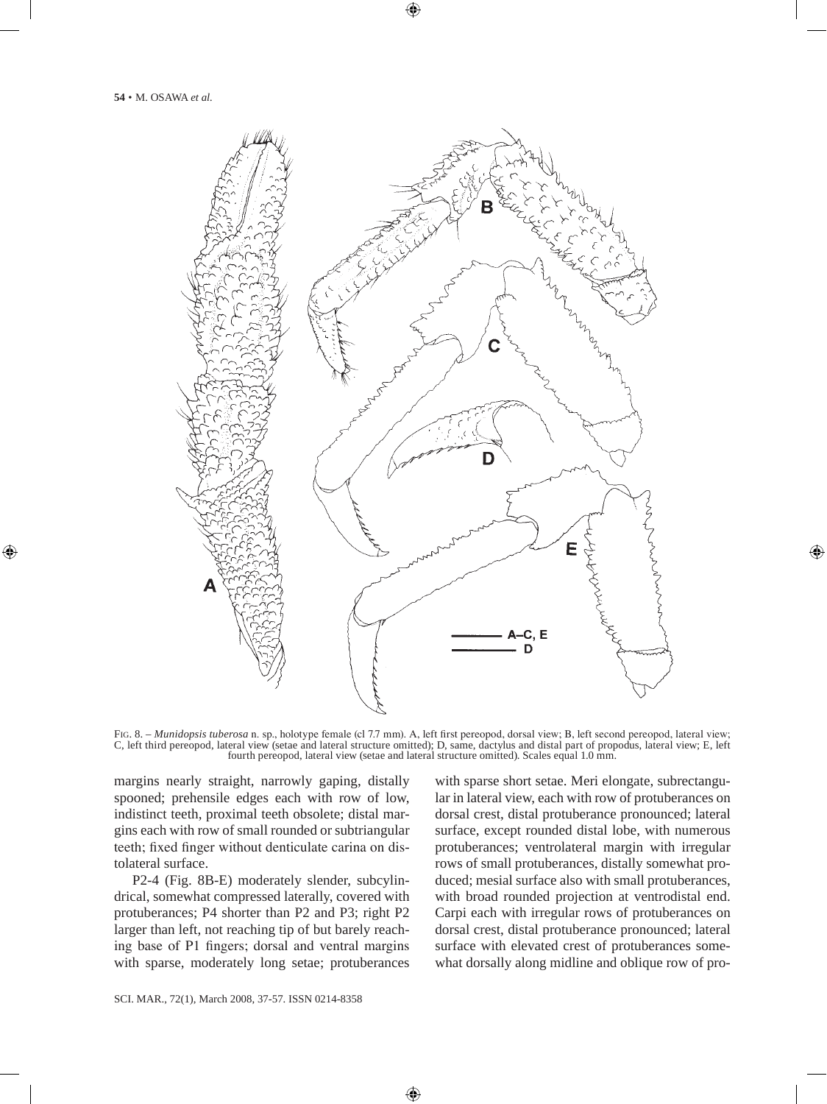

Fig. 8. – *Munidopsis tuberosa* n. sp., holotype female (cl 7.7 mm). A, left first pereopod, dorsal view; B, left second pereopod, lateral view; C, left third pereopod, lateral view (setae and lateral structure omitted); D, same, dactylus and distal part of propodus, lateral view; E, left fourth pereopod, lateral view (setae and lateral structure omitted). Scales equal 1.0 mm.

margins nearly straight, narrowly gaping, distally spooned; prehensile edges each with row of low, indistinct teeth, proximal teeth obsolete; distal margins each with row of small rounded or subtriangular teeth; fixed finger without denticulate carina on distolateral surface.

P2-4 (Fig. 8B-E) moderately slender, subcylindrical, somewhat compressed laterally, covered with protuberances; P4 shorter than P2 and P3; right P2 larger than left, not reaching tip of but barely reaching base of P1 fingers; dorsal and ventral margins with sparse, moderately long setae; protuberances with sparse short setae. Meri elongate, subrectangular in lateral view, each with row of protuberances on dorsal crest, distal protuberance pronounced; lateral surface, except rounded distal lobe, with numerous protuberances; ventrolateral margin with irregular rows of small protuberances, distally somewhat produced; mesial surface also with small protuberances, with broad rounded projection at ventrodistal end. Carpi each with irregular rows of protuberances on dorsal crest, distal protuberance pronounced; lateral surface with elevated crest of protuberances somewhat dorsally along midline and oblique row of pro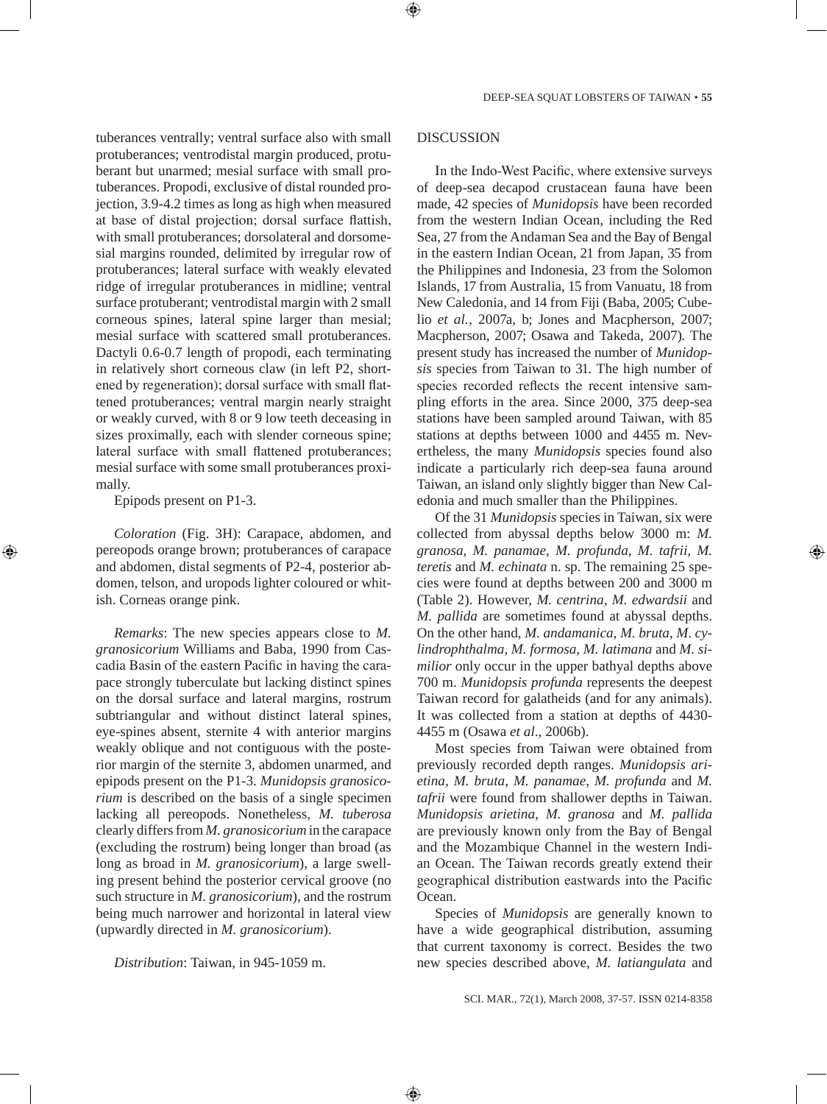tuberances ventrally; ventral surface also with small protuberances; ventrodistal margin produced, protuberant but unarmed; mesial surface with small protuberances. Propodi, exclusive of distal rounded projection, 3.9-4.2 times as long as high when measured at base of distal projection; dorsal surface flattish, with small protuberances; dorsolateral and dorsomesial margins rounded, delimited by irregular row of protuberances; lateral surface with weakly elevated ridge of irregular protuberances in midline; ventral surface protuberant; ventrodistal margin with 2 small corneous spines, lateral spine larger than mesial; mesial surface with scattered small protuberances. Dactyli 0.6-0.7 length of propodi, each terminating in relatively short corneous claw (in left P2, shortened by regeneration); dorsal surface with small flattened protuberances; ventral margin nearly straight or weakly curved, with 8 or 9 low teeth deceasing in sizes proximally, each with slender corneous spine; lateral surface with small flattened protuberances; mesial surface with some small protuberances proximally.

Epipods present on P1-3.

*Coloration* (Fig. 3H): Carapace, abdomen, and pereopods orange brown; protuberances of carapace and abdomen, distal segments of P2-4, posterior abdomen, telson, and uropods lighter coloured or whitish. Corneas orange pink.

*Remarks*: The new species appears close to *M. granosicorium* Williams and Baba, 1990 from Cascadia Basin of the eastern Pacific in having the carapace strongly tuberculate but lacking distinct spines on the dorsal surface and lateral margins, rostrum subtriangular and without distinct lateral spines, eye-spines absent, sternite 4 with anterior margins weakly oblique and not contiguous with the posterior margin of the sternite 3, abdomen unarmed, and epipods present on the P1-3. *Munidopsis granosicorium* is described on the basis of a single specimen lacking all pereopods. Nonetheless, *M. tuberosa*  clearly differs from *M. granosicorium* in the carapace (excluding the rostrum) being longer than broad (as long as broad in *M. granosicorium*), a large swelling present behind the posterior cervical groove (no such structure in *M. granosicorium*), and the rostrum being much narrower and horizontal in lateral view (upwardly directed in *M. granosicorium*).

*Distribution*: Taiwan, in 945-1059 m.

#### DISCUSSION

In the Indo-West Pacific, where extensive surveys of deep-sea decapod crustacean fauna have been made, 42 species of *Munidopsis* have been recorded from the western Indian Ocean, including the Red Sea, 27 from the Andaman Sea and the Bay of Bengal in the eastern Indian Ocean, 21 from Japan, 35 from the Philippines and Indonesia, 23 from the Solomon Islands, 17 from Australia, 15 from Vanuatu, 18 from New Caledonia, and 14 from Fiji (Baba, 2005; Cubelio *et al.,* 2007a, b; Jones and Macpherson, 2007; Macpherson, 2007; Osawa and Takeda, 2007). The present study has increased the number of *Munidopsis* species from Taiwan to 31. The high number of species recorded reflects the recent intensive sampling efforts in the area. Since 2000, 375 deep-sea stations have been sampled around Taiwan, with 85 stations at depths between 1000 and 4455 m. Nevertheless, the many *Munidopsis* species found also indicate a particularly rich deep-sea fauna around Taiwan, an island only slightly bigger than New Caledonia and much smaller than the Philippines.

Of the 31 *Munidopsis* species in Taiwan, six were collected from abyssal depths below 3000 m: *M. granosa*, *M. panamae*, *M. profunda*, *M. tafrii, M. teretis* and *M. echinata* n. sp. The remaining 25 species were found at depths between 200 and 3000 m (Table 2). However, *M. centrina, M. edwardsii* and *M. pallida* are sometimes found at abyssal depths. On the other hand, *M. andamanica*, *M. bruta*, *M*. *cylindrophthalma*, *M. formosa*, *M. latimana* and *M. similior* only occur in the upper bathyal depths above 700 m. *Munidopsis profunda* represents the deepest Taiwan record for galatheids (and for any animals). It was collected from a station at depths of 4430- 4455 m (Osawa *et al*., 2006b).

Most species from Taiwan were obtained from previously recorded depth ranges. *Munidopsis arietina, M. bruta*, *M. panamae, M. profunda* and *M. tafrii* were found from shallower depths in Taiwan. *Munidopsis arietina*, *M. granosa* and *M. pallida* are previously known only from the Bay of Bengal and the Mozambique Channel in the western Indian Ocean. The Taiwan records greatly extend their geographical distribution eastwards into the Pacific Ocean.

Species of *Munidopsis* are generally known to have a wide geographical distribution, assuming that current taxonomy is correct. Besides the two new species described above, *M. latiangulata* and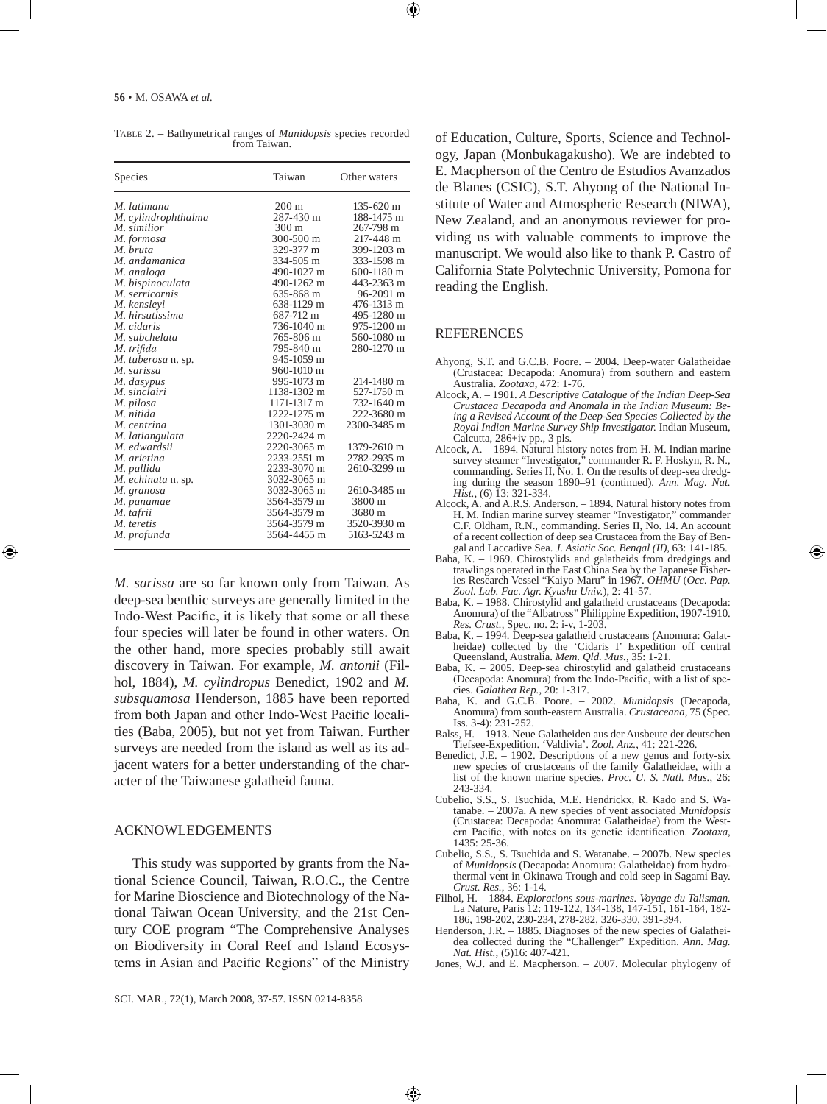| Species             | Taiwan          | Other waters |
|---------------------|-----------------|--------------|
| M. latimana         | $200 \text{ m}$ | 135-620 m    |
| M. cylindrophthalma | 287-430 m       | 188-1475 m   |
| M. similior         | $300 \text{ m}$ | 267-798 m    |
| M. formosa          | $300 - 500$ m   | 217-448 m    |
| M. bruta            | 329-377 m       | 399-1203 m   |
| M. andamanica       | 334-505 m       | 333-1598 m   |
| M. analoga          | 490-1027 m      | 600-1180 m   |
| M. bispinoculata    | 490-1262 m      | 443-2363 m   |
| M. serricornis      | 635-868 m       | 96-2091 m    |
| M. kenslevi         | 638-1129 m      | 476-1313 m   |
| M. hirsutissima     | 687-712 m       | 495-1280 m   |
| M. cidaris          | 736-1040 m      | 975-1200 m   |
| M. subchelata       | 765-806 m       | 560-1080 m   |
| M. trifida          | 795-840 m       | 280-1270 m   |
| M. tuberosa n. sp.  | 945-1059 m      |              |
| M. sarissa          | 960-1010 m      |              |
| M. dasypus          | 995-1073 m      | 214-1480 m   |
| M. sinclairi        | 1138-1302 m     | 527-1750 m   |
| M. pilosa           | 1171-1317 m     | 732-1640 m   |
| M. nitida           | 1222-1275 m     | 222-3680 m   |
| M. centrina         | 1301-3030 m     | 2300-3485 m  |
| M. latiangulata     | 2220-2424 m     |              |
| M. edwardsii        | 2220-3065 m     | 1379-2610 m  |
| M. arietina         | 2233-2551 m     | 2782-2935 m  |
| M. pallida          | 2233-3070 m     | 2610-3299 m  |
| M. echinata n. sp.  | 3032-3065 m     |              |
| M. granosa          | 3032-3065 m     | 2610-3485 m  |
| M. panamae          | 3564-3579 m     | 3800 m       |
| M. tafrii           | 3564-3579 m     | 3680 m       |
| M. teretis          | 3564-3579 m     | 3520-3930 m  |
| M. profunda         | 3564-4455 m     | 5163-5243 m  |

Table 2. – Bathymetrical ranges of *Munidopsis* species recorded from Taiwan.

*M. sarissa* are so far known only from Taiwan. As deep-sea benthic surveys are generally limited in the Indo-West Pacific, it is likely that some or all these four species will later be found in other waters. On the other hand, more species probably still await discovery in Taiwan. For example, *M. antonii* (Filhol, 1884), *M. cylindropus* Benedict, 1902 and *M. subsquamosa* Henderson, 1885 have been reported from both Japan and other Indo-West Pacific localities (Baba, 2005), but not yet from Taiwan. Further surveys are needed from the island as well as its adjacent waters for a better understanding of the character of the Taiwanese galatheid fauna.

#### ACKNOWLEDGEMENTS

This study was supported by grants from the National Science Council, Taiwan, R.O.C., the Centre for Marine Bioscience and Biotechnology of the National Taiwan Ocean University, and the 21st Century COE program "The Comprehensive Analyses on Biodiversity in Coral Reef and Island Ecosystems in Asian and Pacific Regions" of the Ministry of Education, Culture, Sports, Science and Technology, Japan (Monbukagakusho). We are indebted to E. Macpherson of the Centro de Estudios Avanzados de Blanes (CSIC), S.T. Ahyong of the National Institute of Water and Atmospheric Research (NIWA), New Zealand, and an anonymous reviewer for providing us with valuable comments to improve the manuscript. We would also like to thank P. Castro of California State Polytechnic University, Pomona for reading the English.

#### **REFERENCES**

- Ahyong, S.T. and G.C.B. Poore. 2004. Deep-water Galatheidae (Crustacea: Decapoda: Anomura) from southern and eastern Australia. *Zootaxa*, 472: 1-76.
- Alcock, A. 1901. *A Descriptive Catalogue of the Indian Deep-Sea Crustacea Decapoda and Anomala in the Indian Museum: Being a Revised Account of the Deep-Sea Species Collected by the Royal Indian Marine Survey Ship Investigator.* Indian Museum, Calcutta, 286+iv pp., 3 pls.
- Alcock, A. 1894. Natural history notes from H. M. Indian marine survey steamer "Investigator," commander R. F. Hoskyn, R. N., commanding. Series II, No. 1. On the results of deep-sea dredging during the season 1890–91 (continued). *Ann. Mag. Nat. Hist.*, (6) 13: 321-334.
- Alcock, A. and A.R.S. Anderson. 1894. Natural history notes from H. M. Indian marine survey steamer "Investigator," commander C.F. Oldham, R.N., commanding. Series II, No. 14. An account of a recent collection of deep sea Crustacea from the Bay of Bengal and Laccadive Sea. *J. Asiatic Soc. Bengal (II)*, 63: 141-185.
- Baba, K. 1969. Chirostylids and galatheids from dredgings and trawlings operated in the East China Sea by the Japanese Fisheries Research Vessel "Kaiyo Maru" in 1967. *OHMU* (*Occ. Pap. Zool. Lab. Fac. Agr. Kyushu Univ.*), 2: 41-57.
- Baba, K. 1988. Chirostylid and galatheid crustaceans (Decapoda: Anomura) of the "Albatross" Philippine Expedition, 1907-1910. *Res. Crust.,* Spec. no. 2: i-v, 1-203.
- Baba, K. 1994. Deep-sea galatheid crustaceans (Anomura: Galatheidae) collected by the 'Cidaris I' Expedition off central Queensland, Australia. *Mem. Qld. Mus.,* 35: 1-21.
- Baba, K. 2005. Deep-sea chirostylid and galatheid crustaceans (Decapoda: Anomura) from the Indo-Pacific, with a list of species. *Galathea Rep.*, 20: 1-317.
- Baba, K. and G.C.B. Poore. 2002. *Munidopsis* (Decapoda, Anomura) from south-eastern Australia. *Crustaceana*, 75 (Spec. Iss. 3-4): 231-252.
- Balss, H. 1913. Neue Galatheiden aus der Ausbeute der deutschen Tiefsee-Expedition. 'Valdivia'. *Zool. Anz.*, 41: 221-226.
- Benedict, J.E. 1902. Descriptions of a new genus and forty-six new species of crustaceans of the family Galatheidae, with a list of the known marine species. *Proc. U. S. Natl. Mus.*, 26: 243-334.
- Cubelio, S.S., S. Tsuchida, M.E. Hendrickx, R. Kado and S. Watanabe. – 2007a. A new species of vent associated *Munidopsis* (Crustacea: Decapoda: Anomura: Galatheidae) from the Western Pacific, with notes on its genetic identification. *Zootaxa*, 1435: 25-36.
- Cubelio, S.S., S. Tsuchida and S. Watanabe. 2007b. New species of *Munidopsis* (Decapoda: Anomura: Galatheidae) from hydrothermal vent in Okinawa Trough and cold seep in Sagami Bay. *Crust. Res.*, 36: 1-14.
- Filhol, H. 1884. *Explorations sous-marines. Voyage du Talisman.* La Nature, Paris 12: 119-122, 134-138, 147-151, 161-164, 182- 186, 198-202, 230-234, 278-282, 326-330, 391-394.
- Henderson, J.R. 1885. Diagnoses of the new species of Galatheidea collected during the "Challenger" Expedition. *Ann. Mag. Nat. Hist.,* (5)16: 407-421.
- Jones, W.J. and E. Macpherson. 2007. Molecular phylogeny of